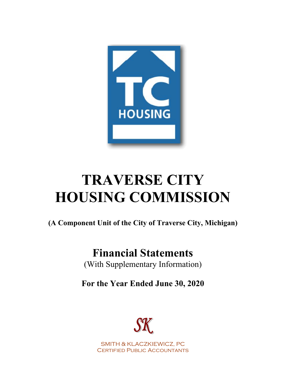

# **TRAVERSE CITY HOUSING COMMISSION**

**(A Component Unit of the City of Traverse City, Michigan)** 

## **Financial Statements**

(With Supplementary Information)

**For the Year Ended June 30, 2020**



SMITH & KLACZKIEWICZ, PC **CERTIFIED PUBLIC ACCOUNTANTS**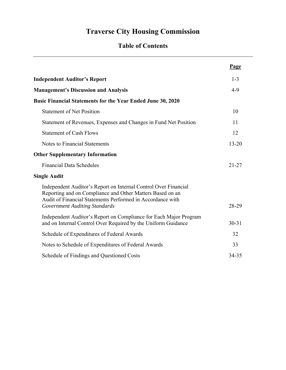## **Table of Contents**

|                                                                                                                                                                                                                                    | Page      |
|------------------------------------------------------------------------------------------------------------------------------------------------------------------------------------------------------------------------------------|-----------|
| <b>Independent Auditor's Report</b>                                                                                                                                                                                                | $1 - 3$   |
| <b>Management's Discussion and Analysis</b>                                                                                                                                                                                        | $4-9$     |
| <b>Basic Financial Statements for the Year Ended June 30, 2020</b>                                                                                                                                                                 |           |
| <b>Statement of Net Position</b>                                                                                                                                                                                                   | 10        |
| Statement of Revenues, Expenses and Changes in Fund Net Position                                                                                                                                                                   | 11        |
| <b>Statement of Cash Flows</b>                                                                                                                                                                                                     | 12        |
| Notes to Financial Statements                                                                                                                                                                                                      | $13 - 20$ |
| <b>Other Supplementary Information</b>                                                                                                                                                                                             |           |
| <b>Financial Data Schedules</b>                                                                                                                                                                                                    | $21 - 27$ |
| <b>Single Audit</b>                                                                                                                                                                                                                |           |
| Independent Auditor's Report on Internal Control Over Financial<br>Reporting and on Compliance and Other Matters Based on an<br>Audit of Financial Statements Performed in Accordance with<br><b>Government Auditing Standards</b> | 28-29     |
| Independent Auditor's Report on Compliance for Each Major Program<br>and on Internal Control Over Required by the Uniform Guidance                                                                                                 | $30 - 31$ |
| Schedule of Expenditures of Federal Awards                                                                                                                                                                                         | 32        |
| Notes to Schedule of Expenditures of Federal Awards                                                                                                                                                                                | 33        |
| Schedule of Findings and Questioned Costs                                                                                                                                                                                          | 34-35     |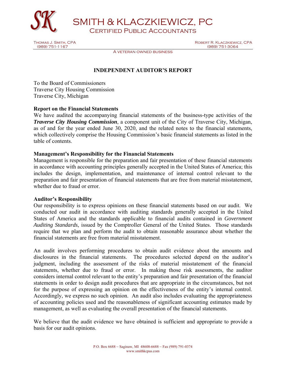

SMITH & KLACZKIEWICZ, PC Certified Public Accountants

Thomas J. Smith, CPA Robert R. Klaczkiewicz, CPA (989) 751-3064

A veteran owned business

#### **INDEPENDENT AUDITOR'S REPORT**

To the Board of Commissioners Traverse City Housing Commission Traverse City, Michigan

#### **Report on the Financial Statements**

We have audited the accompanying financial statements of the business-type activities of the *Traverse City Housing Commission*, a component unit of the City of Traverse City, Michigan, as of and for the year ended June 30, 2020, and the related notes to the financial statements, which collectively comprise the Housing Commission's basic financial statements as listed in the table of contents.

#### **Management's Responsibility for the Financial Statements**

Management is responsible for the preparation and fair presentation of these financial statements in accordance with accounting principles generally accepted in the United States of America; this includes the design, implementation, and maintenance of internal control relevant to the preparation and fair presentation of financial statements that are free from material misstatement, whether due to fraud or error.

#### **Auditor's Responsibility**

Our responsibility is to express opinions on these financial statements based on our audit. We conducted our audit in accordance with auditing standards generally accepted in the United States of America and the standards applicable to financial audits contained in *Government Auditing Standards*, issued by the Comptroller General of the United States. Those standards require that we plan and perform the audit to obtain reasonable assurance about whether the financial statements are free from material misstatement.

An audit involves performing procedures to obtain audit evidence about the amounts and disclosures in the financial statements. The procedures selected depend on the auditor's judgment, including the assessment of the risks of material misstatement of the financial statements, whether due to fraud or error. In making those risk assessments, the auditor considers internal control relevant to the entity's preparation and fair presentation of the financial statements in order to design audit procedures that are appropriate in the circumstances, but not for the purpose of expressing an opinion on the effectiveness of the entity's internal control. Accordingly, we express no such opinion. An audit also includes evaluating the appropriateness of accounting policies used and the reasonableness of significant accounting estimates made by management, as well as evaluating the overall presentation of the financial statements.

We believe that the audit evidence we have obtained is sufficient and appropriate to provide a basis for our audit opinions.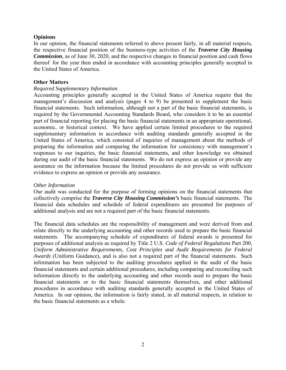#### **Opinions**

In our opinion, the financial statements referred to above present fairly, in all material respects, the respective financial position of the business-type activities of the *Traverse City Housing Commission*, as of June 30, 2020, and the respective changes in financial position and cash flows thereof for the year then ended in accordance with accounting principles generally accepted in the United States of America.

#### **Other Matters**

#### *Required Supplementary Information*

Accounting principles generally accepted in the United States of America require that the management's discussion and analysis (pages 4 to 9) be presented to supplement the basic financial statements. Such information, although not a part of the basic financial statements, is required by the Governmental Accounting Standards Board, who considers it to be an essential part of financial reporting for placing the basic financial statements in an appropriate operational, economic, or historical context. We have applied certain limited procedures to the required supplementary information in accordance with auditing standards generally accepted in the United States of America, which consisted of inquiries of management about the methods of preparing the information and comparing the information for consistency with management's responses to our inquiries, the basic financial statements, and other knowledge we obtained during our audit of the basic financial statements. We do not express an opinion or provide any assurance on the information because the limited procedures do not provide us with sufficient evidence to express an opinion or provide any assurance.

#### *Other Information*

Our audit was conducted for the purpose of forming opinions on the financial statements that collectively comprise the *Traverse City Housing Commission's* basic financial statements. The financial data schedules and schedule of federal expenditures are presented for purposes of additional analysis and are not a required part of the basic financial statements.

The financial data schedules are the responsibility of management and were derived from and relate directly to the underlying accounting and other records used to prepare the basic financial statements. The accompanying schedule of expenditures of federal awards is presented for purposes of additional analysis as required by Title 2 U.S. *Code of Federal Regulations* Part 200, *Uniform Administrative Requirements, Cost Principles and Audit Requirements for Federal Awards* (Uniform Guidance), and is also not a required part of the financial statements. Such information has been subjected to the auditing procedures applied in the audit of the basic financial statements and certain additional procedures, including comparing and reconciling such information directly to the underlying accounting and other records used to prepare the basic financial statements or to the basic financial statements themselves, and other additional procedures in accordance with auditing standards generally accepted in the United States of America. In our opinion, the information is fairly stated, in all material respects, in relation to the basic financial statements as a whole.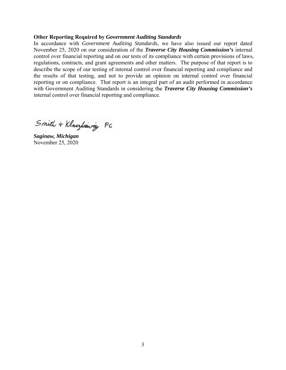#### **Other Reporting Required by** *Government Auditing Standards*

In accordance with Government Auditing Standards, we have also issued our report dated November 25, 2020 on our consideration of the *Traverse City Housing Commission's* internal control over financial reporting and on our tests of its compliance with certain provisions of laws, regulations, contracts, and grant agreements and other matters. The purpose of that report is to describe the scope of our testing of internal control over financial reporting and compliance and the results of that testing, and not to provide an opinion on internal control over financial reporting or on compliance. That report is an integral part of an audit performed in accordance with Government Auditing Standards in considering the *Traverse City Housing Commission's* internal control over financial reporting and compliance.

Smith + Klacyhiannig PC

*Saginaw, Michigan* November 25, 2020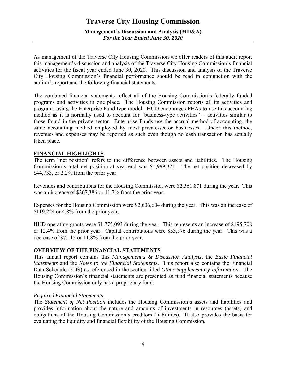## **Traverse City Housing Commission Management's Discussion and Analysis (MD&A)**  *For the Year Ended June 30, 2020*

As management of the Traverse City Housing Commission we offer readers of this audit report this management's discussion and analysis of the Traverse City Housing Commission's financial activities for the fiscal year ended June 30, 2020. This discussion and analysis of the Traverse City Housing Commission's financial performance should be read in conjunction with the auditor's report and the following financial statements.

The combined financial statements reflect all of the Housing Commission's federally funded programs and activities in one place. The Housing Commission reports all its activities and programs using the Enterprise Fund type model. HUD encourages PHAs to use this accounting method as it is normally used to account for "business-type activities" – activities similar to those found in the private sector. Enterprise Funds use the accrual method of accounting, the same accounting method employed by most private-sector businesses. Under this method, revenues and expenses may be reported as such even though no cash transaction has actually taken place.

#### **FINANCIAL HIGHLIGHTS**

The term "net position" refers to the difference between assets and liabilities. The Housing Commission's total net position at year-end was \$1,999,321. The net position decreased by \$44,733, or 2.2% from the prior year.

Revenues and contributions for the Housing Commission were \$2,561,871 during the year. This was an increase of \$267,386 or 11.7% from the prior year.

Expenses for the Housing Commission were \$2,606,604 during the year. This was an increase of \$119,224 or 4.8% from the prior year.

HUD operating grants were \$1,775,093 during the year. This represents an increase of \$195,708 or 12.4% from the prior year. Capital contributions were \$53,376 during the year. This was a decrease of \$7,115 or 11.8% from the prior year.

#### **OVERVIEW OF THE FINANCIAL STATEMENTS**

This annual report contains this *Management's & Discussion Analysis*, the *Basic Financial Statements* and the *Notes to the Financial Statements*. This report also contains the Financial Data Schedule (FDS) as referenced in the section titled *Other Supplementary Information*. The Housing Commission's financial statements are presented as fund financial statements because the Housing Commission only has a proprietary fund.

#### *Required Financial Statements*

The *Statement of Net Position* includes the Housing Commission's assets and liabilities and provides information about the nature and amounts of investments in resources (assets) and obligations of the Housing Commission's creditors (liabilities). It also provides the basis for evaluating the liquidity and financial flexibility of the Housing Commission.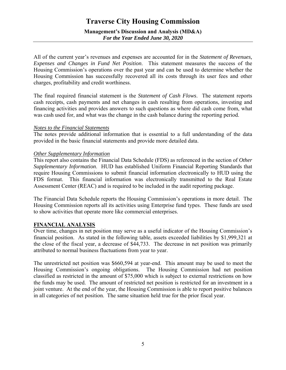## **Traverse City Housing Commission Management's Discussion and Analysis (MD&A)**  *For the Year Ended June 30, 2020*

All of the current year's revenues and expenses are accounted for in the *Statement of Revenues, Expenses and Changes in Fund Net Position*. This statement measures the success of the Housing Commission's operations over the past year and can be used to determine whether the Housing Commission has successfully recovered all its costs through its user fees and other charges, profitability and credit worthiness.

The final required financial statement is the *Statement of Cash Flows*. The statement reports cash receipts, cash payments and net changes in cash resulting from operations, investing and financing activities and provides answers to such questions as where did cash come from, what was cash used for, and what was the change in the cash balance during the reporting period.

#### *Notes to the Financial Statements*

The notes provide additional information that is essential to a full understanding of the data provided in the basic financial statements and provide more detailed data.

#### *Other Supplementary Information*

This report also contains the Financial Data Schedule (FDS) as referenced in the section of *Other Supplementary Information*. HUD has established Uniform Financial Reporting Standards that require Housing Commissions to submit financial information electronically to HUD using the FDS format. This financial information was electronically transmitted to the Real Estate Assessment Center (REAC) and is required to be included in the audit reporting package.

The Financial Data Schedule reports the Housing Commission's operations in more detail. The Housing Commission reports all its activities using Enterprise fund types. These funds are used to show activities that operate more like commercial enterprises.

#### **FINANCIAL ANALYSIS**

Over time, changes in net position may serve as a useful indicator of the Housing Commission's financial position. As stated in the following table, assets exceeded liabilities by \$1,999,321 at the close of the fiscal year, a decrease of \$44,733. The decrease in net position was primarily attributed to normal business fluctuations from year to year.

The unrestricted net position was \$660,594 at year-end. This amount may be used to meet the Housing Commission's ongoing obligations. The Housing Commission had net position classified as restricted in the amount of \$75,000 which is subject to external restrictions on how the funds may be used. The amount of restricted net position is restricted for an investment in a joint venture. At the end of the year, the Housing Commission is able to report positive balances in all categories of net position. The same situation held true for the prior fiscal year.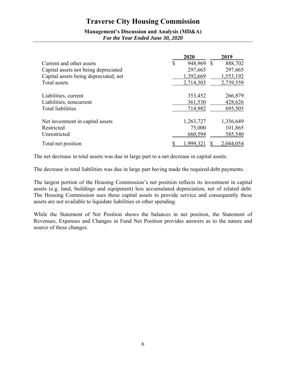#### **Management's Discussion and Analysis (MD&A)**  *For the Year Ended June 30, 2020*

|                                       | 2020          | 2019          |
|---------------------------------------|---------------|---------------|
| Current and other assets              | 948,969<br>\$ | 888,702<br>-S |
| Capital assets not being depreciated  | 297,665       | 297,665       |
| Capital assets being depreciated, net | 1,392,669     | 1,553,192     |
| Total assets                          | 2,714,303     | 2,739,559     |
|                                       |               |               |
| Liabilities, current                  | 353,452       | 266,879       |
| Liabilities, noncurrent               | 361,530       | 428,626       |
| <b>Total liabilities</b>              | 714,982       | 695,505       |
|                                       |               |               |
| Net investment in capital assets      | 1,263,727     | 1,356,649     |
| Restricted                            | 75,000        | 101,865       |
| Unrestricted                          | 660,594       | 585,540       |
| Total net position                    | 1,999,32      | 2,044,054     |

The net decrease in total assets was due in large part to a net decrease in capital assets.

The decrease in total liabilities was due in large part having made the required debt payments.

The largest portion of the Housing Commission's net position reflects its investment in capital assets (e.g. land, buildings and equipment) less accumulated depreciation, net of related debt. The Housing Commission uses these capital assets to provide service and consequently these assets are not available to liquidate liabilities or other spending.

While the Statement of Net Position shows the balances in net position, the Statement of Revenues, Expenses and Changes in Fund Net Position provides answers as to the nature and source of these changes.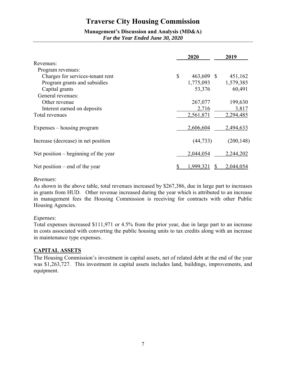#### **Management's Discussion and Analysis (MD&A)**  *For the Year Ended June 30, 2020*

|                                        |              | 2020       | 2019       |
|----------------------------------------|--------------|------------|------------|
| Revenues:                              |              |            |            |
| Program revenues:                      |              |            |            |
| Charges for services-tenant rent       | $\mathbb{S}$ | 463,609 \$ | 451,162    |
| Program grants and subsidies           |              | 1,775,093  | 1,579,385  |
| Capital grants                         |              | 53,376     | 60,491     |
| General revenues:                      |              |            |            |
| Other revenue                          |              | 267,077    | 199,630    |
| Interest earned on deposits            |              | 2,716      | 3,817      |
| Total revenues                         |              | 2,561,871  | 2,294,485  |
| Expenses – housing program             |              | 2,606,604  | 2,494,633  |
| Increase (decrease) in net position    |              | (44, 733)  | (200, 148) |
| Net position $-$ beginning of the year |              | 2,044,054  | 2,244,202  |
| Net position $-$ end of the year       |              | ,999,321   | 2,044,054  |

#### *Revenues*:

As shown in the above table, total revenues increased by \$267,386, due in large part to increases in grants from HUD. Other revenue increased during the year which is attributed to an increase in management fees the Housing Commission is receiving for contracts with other Public Housing Agencies.

#### *Expenses*:

Total expenses increased \$111,971 or 4.5% from the prior year, due in large part to an increase in costs associated with converting the public housing units to tax credits along with an increase in maintenance type expenses.

#### **CAPITAL ASSETS**

The Housing Commission's investment in capital assets, net of related debt at the end of the year was \$1,263,727. This investment in capital assets includes land, buildings, improvements, and equipment.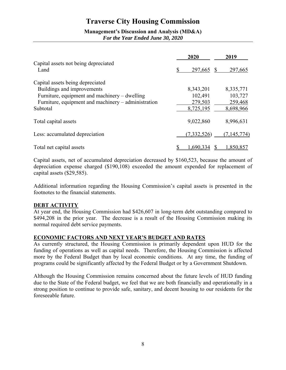#### **Management's Discussion and Analysis (MD&A)**  *For the Year Ended June 30, 2020*

|                                                     |  | 2020          | 2019          |  |
|-----------------------------------------------------|--|---------------|---------------|--|
| Capital assets not being depreciated<br>Land        |  | 297,665       | 297,665       |  |
| Capital assets being depreciated                    |  |               |               |  |
| Buildings and improvements                          |  | 8,343,201     | 8,335,771     |  |
| Furniture, equipment and machinery – dwelling       |  | 102,491       | 103,727       |  |
| Furniture, equipment and machinery – administration |  | 279,503       | 259,468       |  |
| Subtotal                                            |  | 8,725,195     | 8,698,966     |  |
| Total capital assets                                |  | 9,022,860     | 8,996,631     |  |
| Less: accumulated depreciation                      |  | (7, 332, 526) | (7, 145, 774) |  |
| Total net capital assets                            |  | .690.334      | .850.857      |  |

Capital assets, net of accumulated depreciation decreased by \$160,523, because the amount of depreciation expense charged (\$190,108) exceeded the amount expended for replacement of capital assets (\$29,585).

Additional information regarding the Housing Commission's capital assets is presented in the footnotes to the financial statements.

#### **DEBT ACTIVITY**

At year end, the Housing Commission had \$426,607 in long-term debt outstanding compared to \$494,208 in the prior year. The decrease is a result of the Housing Commission making its normal required debt service payments.

#### **ECONOMIC FACTORS AND NEXT YEAR'S BUDGET AND RATES**

As currently structured, the Housing Commission is primarily dependent upon HUD for the funding of operations as well as capital needs. Therefore, the Housing Commission is affected more by the Federal Budget than by local economic conditions. At any time, the funding of programs could be significantly affected by the Federal Budget or by a Government Shutdown.

Although the Housing Commission remains concerned about the future levels of HUD funding due to the State of the Federal budget, we feel that we are both financially and operationally in a strong position to continue to provide safe, sanitary, and decent housing to our residents for the foreseeable future.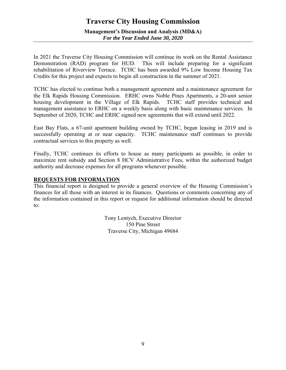## **Traverse City Housing Commission Management's Discussion and Analysis (MD&A)**  *For the Year Ended June 30, 2020*

In 2021 the Traverse City Housing Commission will continue its work on the Rental Assistance Demonstration (RAD) program for HUD. This will include preparing for a significant rehabilitation of Riverview Terrace. TCHC has been awarded 9% Low Income Housing Tax Credits for this project and expects to begin all construction in the summer of 2021.

TCHC has elected to continue both a management agreement and a maintenance agreement for the Elk Rapids Housing Commission. ERHC owns Noble Pines Apartments, a 20-unit senior housing development in the Village of Elk Rapids. TCHC staff provides technical and management assistance to ERHC on a weekly basis along with basic maintenance services. In September of 2020, TCHC and ERHC signed new agreements that will extend until 2022.

East Bay Flats, a 67-unit apartment building owned by TCHC, began leasing in 2019 and is successfully operating at or near capacity. TCHC maintenance staff continues to provide contractual services to this property as well.

Finally, TCHC continues its efforts to house as many participants as possible, in order to maximize rent subsidy and Section 8 HCV Administrative Fees, within the authorized budget authority and decrease expenses for all programs whenever possible.

#### **REQUESTS FOR INFORMATION**

This financial report is designed to provide a general overview of the Housing Commission's finances for all those with an interest in its finances. Questions or comments concerning any of the information contained in this report or request for additional information should be directed to:

> Tony Lentych, Executive Director 150 Pine Street Traverse City, Michigan 49684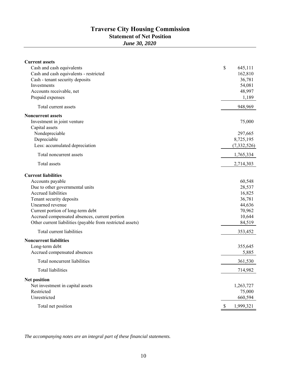## **Traverse City Housing Commission Statement of Net Position** *June 30, 2020*

| \$<br>Cash and cash equivalents<br>645,111<br>Cash and cash equivalents - restricted<br>162,810<br>Cash - tenant security deposits<br>36,781<br>54,081<br>Investments<br>48,997<br>Accounts receivable, net<br>1,189<br>Prepaid expenses<br>Total current assets<br>948,969<br><b>Noncurrent assets</b><br>Investment in joint venture<br>75,000<br>Capital assets<br>Nondepreciable<br>297,665<br>Depreciable<br>8,725,195<br>(7, 332, 526)<br>Less: accumulated depreciation<br>Total noncurrent assets<br>1,765,334<br>Total assets<br>2,714,303<br><b>Current liabilities</b><br>60,548<br>Accounts payable<br>Due to other governmental units<br>28,537<br><b>Accrued liabilities</b><br>16,825<br>36,781<br>Tenant security deposits<br>Unearned revenue<br>44,636<br>Current portion of long-term debt<br>70,962<br>Accrued compensated absences, current portion<br>10,644<br>Other current liabilities (payable from restricted assets)<br>84,519<br>Total current liabilities<br>353,452<br><b>Noncurrent liabilities</b><br>Long-term debt<br>355,645<br>5,885<br>Accrued compensated absences<br>Total noncurrent liabilities<br>361,530<br><b>Total liabilities</b><br>714,982<br><b>Net position</b><br>Net investment in capital assets<br>1,263,727<br>75,000<br>Restricted | <b>Current assets</b> |         |
|---------------------------------------------------------------------------------------------------------------------------------------------------------------------------------------------------------------------------------------------------------------------------------------------------------------------------------------------------------------------------------------------------------------------------------------------------------------------------------------------------------------------------------------------------------------------------------------------------------------------------------------------------------------------------------------------------------------------------------------------------------------------------------------------------------------------------------------------------------------------------------------------------------------------------------------------------------------------------------------------------------------------------------------------------------------------------------------------------------------------------------------------------------------------------------------------------------------------------------------------------------------------------------------------|-----------------------|---------|
|                                                                                                                                                                                                                                                                                                                                                                                                                                                                                                                                                                                                                                                                                                                                                                                                                                                                                                                                                                                                                                                                                                                                                                                                                                                                                             |                       |         |
|                                                                                                                                                                                                                                                                                                                                                                                                                                                                                                                                                                                                                                                                                                                                                                                                                                                                                                                                                                                                                                                                                                                                                                                                                                                                                             |                       |         |
|                                                                                                                                                                                                                                                                                                                                                                                                                                                                                                                                                                                                                                                                                                                                                                                                                                                                                                                                                                                                                                                                                                                                                                                                                                                                                             |                       |         |
|                                                                                                                                                                                                                                                                                                                                                                                                                                                                                                                                                                                                                                                                                                                                                                                                                                                                                                                                                                                                                                                                                                                                                                                                                                                                                             |                       |         |
|                                                                                                                                                                                                                                                                                                                                                                                                                                                                                                                                                                                                                                                                                                                                                                                                                                                                                                                                                                                                                                                                                                                                                                                                                                                                                             |                       |         |
|                                                                                                                                                                                                                                                                                                                                                                                                                                                                                                                                                                                                                                                                                                                                                                                                                                                                                                                                                                                                                                                                                                                                                                                                                                                                                             |                       |         |
|                                                                                                                                                                                                                                                                                                                                                                                                                                                                                                                                                                                                                                                                                                                                                                                                                                                                                                                                                                                                                                                                                                                                                                                                                                                                                             |                       |         |
|                                                                                                                                                                                                                                                                                                                                                                                                                                                                                                                                                                                                                                                                                                                                                                                                                                                                                                                                                                                                                                                                                                                                                                                                                                                                                             |                       |         |
|                                                                                                                                                                                                                                                                                                                                                                                                                                                                                                                                                                                                                                                                                                                                                                                                                                                                                                                                                                                                                                                                                                                                                                                                                                                                                             |                       |         |
|                                                                                                                                                                                                                                                                                                                                                                                                                                                                                                                                                                                                                                                                                                                                                                                                                                                                                                                                                                                                                                                                                                                                                                                                                                                                                             |                       |         |
|                                                                                                                                                                                                                                                                                                                                                                                                                                                                                                                                                                                                                                                                                                                                                                                                                                                                                                                                                                                                                                                                                                                                                                                                                                                                                             |                       |         |
|                                                                                                                                                                                                                                                                                                                                                                                                                                                                                                                                                                                                                                                                                                                                                                                                                                                                                                                                                                                                                                                                                                                                                                                                                                                                                             |                       |         |
|                                                                                                                                                                                                                                                                                                                                                                                                                                                                                                                                                                                                                                                                                                                                                                                                                                                                                                                                                                                                                                                                                                                                                                                                                                                                                             |                       |         |
|                                                                                                                                                                                                                                                                                                                                                                                                                                                                                                                                                                                                                                                                                                                                                                                                                                                                                                                                                                                                                                                                                                                                                                                                                                                                                             |                       |         |
|                                                                                                                                                                                                                                                                                                                                                                                                                                                                                                                                                                                                                                                                                                                                                                                                                                                                                                                                                                                                                                                                                                                                                                                                                                                                                             |                       |         |
|                                                                                                                                                                                                                                                                                                                                                                                                                                                                                                                                                                                                                                                                                                                                                                                                                                                                                                                                                                                                                                                                                                                                                                                                                                                                                             |                       |         |
|                                                                                                                                                                                                                                                                                                                                                                                                                                                                                                                                                                                                                                                                                                                                                                                                                                                                                                                                                                                                                                                                                                                                                                                                                                                                                             |                       |         |
|                                                                                                                                                                                                                                                                                                                                                                                                                                                                                                                                                                                                                                                                                                                                                                                                                                                                                                                                                                                                                                                                                                                                                                                                                                                                                             |                       |         |
|                                                                                                                                                                                                                                                                                                                                                                                                                                                                                                                                                                                                                                                                                                                                                                                                                                                                                                                                                                                                                                                                                                                                                                                                                                                                                             |                       |         |
|                                                                                                                                                                                                                                                                                                                                                                                                                                                                                                                                                                                                                                                                                                                                                                                                                                                                                                                                                                                                                                                                                                                                                                                                                                                                                             |                       |         |
|                                                                                                                                                                                                                                                                                                                                                                                                                                                                                                                                                                                                                                                                                                                                                                                                                                                                                                                                                                                                                                                                                                                                                                                                                                                                                             |                       |         |
|                                                                                                                                                                                                                                                                                                                                                                                                                                                                                                                                                                                                                                                                                                                                                                                                                                                                                                                                                                                                                                                                                                                                                                                                                                                                                             |                       |         |
|                                                                                                                                                                                                                                                                                                                                                                                                                                                                                                                                                                                                                                                                                                                                                                                                                                                                                                                                                                                                                                                                                                                                                                                                                                                                                             |                       |         |
|                                                                                                                                                                                                                                                                                                                                                                                                                                                                                                                                                                                                                                                                                                                                                                                                                                                                                                                                                                                                                                                                                                                                                                                                                                                                                             |                       |         |
|                                                                                                                                                                                                                                                                                                                                                                                                                                                                                                                                                                                                                                                                                                                                                                                                                                                                                                                                                                                                                                                                                                                                                                                                                                                                                             |                       |         |
|                                                                                                                                                                                                                                                                                                                                                                                                                                                                                                                                                                                                                                                                                                                                                                                                                                                                                                                                                                                                                                                                                                                                                                                                                                                                                             |                       |         |
|                                                                                                                                                                                                                                                                                                                                                                                                                                                                                                                                                                                                                                                                                                                                                                                                                                                                                                                                                                                                                                                                                                                                                                                                                                                                                             |                       |         |
|                                                                                                                                                                                                                                                                                                                                                                                                                                                                                                                                                                                                                                                                                                                                                                                                                                                                                                                                                                                                                                                                                                                                                                                                                                                                                             |                       |         |
|                                                                                                                                                                                                                                                                                                                                                                                                                                                                                                                                                                                                                                                                                                                                                                                                                                                                                                                                                                                                                                                                                                                                                                                                                                                                                             |                       |         |
|                                                                                                                                                                                                                                                                                                                                                                                                                                                                                                                                                                                                                                                                                                                                                                                                                                                                                                                                                                                                                                                                                                                                                                                                                                                                                             |                       |         |
|                                                                                                                                                                                                                                                                                                                                                                                                                                                                                                                                                                                                                                                                                                                                                                                                                                                                                                                                                                                                                                                                                                                                                                                                                                                                                             |                       |         |
|                                                                                                                                                                                                                                                                                                                                                                                                                                                                                                                                                                                                                                                                                                                                                                                                                                                                                                                                                                                                                                                                                                                                                                                                                                                                                             |                       |         |
|                                                                                                                                                                                                                                                                                                                                                                                                                                                                                                                                                                                                                                                                                                                                                                                                                                                                                                                                                                                                                                                                                                                                                                                                                                                                                             |                       |         |
|                                                                                                                                                                                                                                                                                                                                                                                                                                                                                                                                                                                                                                                                                                                                                                                                                                                                                                                                                                                                                                                                                                                                                                                                                                                                                             | Unrestricted          | 660,594 |
| 1,999,321<br>Total net position<br>\$                                                                                                                                                                                                                                                                                                                                                                                                                                                                                                                                                                                                                                                                                                                                                                                                                                                                                                                                                                                                                                                                                                                                                                                                                                                       |                       |         |

*The accompanying notes are an integral part of these financial statements.*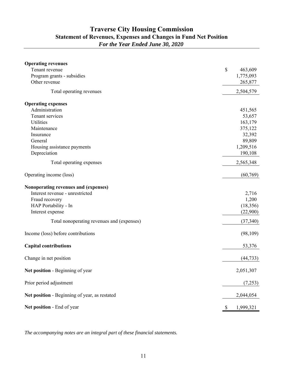## **Traverse City Housing Commission Statement of Revenues, Expenses and Changes in Fund Net Position** *For the Year Ended June 30, 2020*

| <b>Operating revenues</b>                     |                           |           |
|-----------------------------------------------|---------------------------|-----------|
| Tenant revenue                                | $\mathbb{S}$              | 463,609   |
| Program grants - subsidies                    |                           | 1,775,093 |
| Other revenue                                 |                           | 265,877   |
| Total operating revenues                      |                           | 2,504,579 |
| <b>Operating expenses</b>                     |                           |           |
| Administration                                |                           | 451,565   |
| Tenant services                               |                           | 53,657    |
| <b>Utilities</b>                              |                           | 163,179   |
| Maintenance                                   |                           | 375,122   |
| Insurance                                     |                           | 32,392    |
| General                                       |                           | 89,809    |
| Housing assistance payments                   |                           | 1,209,516 |
| Depreciation                                  |                           | 190,108   |
| Total operating expenses                      |                           | 2,565,348 |
| Operating income (loss)                       |                           | (60, 769) |
| Nonoperating revenues and (expenses)          |                           |           |
| Interest revenue - unrestricted               |                           | 2,716     |
| Fraud recovery                                |                           | 1,200     |
| HAP Portability - In                          |                           | (18, 356) |
| Interest expense                              |                           | (22,900)  |
| Total nonoperating revenues and (expenses)    |                           | (37, 340) |
| Income (loss) before contributions            |                           | (98, 109) |
| <b>Capital contributions</b>                  |                           | 53,376    |
| Change in net position                        |                           | (44, 733) |
| Net position - Beginning of year              |                           | 2,051,307 |
| Prior period adjustment                       |                           | (7,253)   |
| Net position - Beginning of year, as restated |                           | 2,044,054 |
| Net position - End of year                    | $\boldsymbol{\mathsf{S}}$ | 1,999,321 |

*The accompanying notes are an integral part of these financial statements.*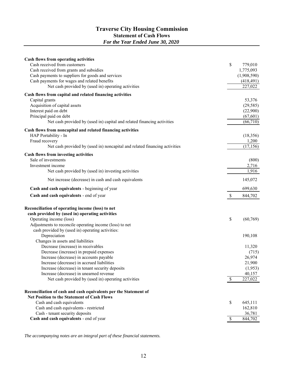#### **Traverse City Housing Commission Statement of Cash Flows** *For the Year Ended June 30, 2020*

| Cash flows from operating activities                                       |                            |             |
|----------------------------------------------------------------------------|----------------------------|-------------|
| Cash received from customers                                               | \$                         | 779,010     |
| Cash received from grants and subsidies                                    |                            | 1,775,093   |
| Cash payments to suppliers for goods and services                          |                            | (1,908,590) |
| Cash payments for wages and related benefits                               |                            | (418, 491)  |
| Net cash provided by (used in) operating activities                        |                            | 227,022     |
| Cash flows from capital and related financing activities                   |                            |             |
| Capital grants                                                             |                            | 53,376      |
| Acquisition of capital assets                                              |                            | (29, 585)   |
| Interest paid on debt                                                      |                            | (22,900)    |
| Principal paid on debt                                                     |                            | (67, 601)   |
| Net cash provided by (used in) capital and related financing activities    |                            | (66,710)    |
| Cash flows from noncapital and related financing activities                |                            |             |
| HAP Portability - In                                                       |                            | (18, 356)   |
| Fraud recovery                                                             |                            | 1,200       |
| Net cash provided by (used in) noncapital and related financing activities |                            | (17, 156)   |
| Cash flows from investing activities                                       |                            |             |
| Sale of investments                                                        |                            | (800)       |
| Investment income                                                          |                            | 2,716       |
| Net cash provided by (used in) investing activities                        |                            | 1,916       |
| Net increase (decrease) in cash and cash equivalents                       |                            | 145,072     |
| Cash and cash equivalents - beginning of year                              |                            | 699,630     |
| Cash and cash equivalents - end of year                                    | $\boldsymbol{\mathsf{S}}$  | 844,702     |
| Reconciliation of operating income (loss) to net                           |                            |             |
| cash provided by (used in) operating activities                            |                            |             |
| Operating income (loss)                                                    | \$                         | (60, 769)   |
| Adjustments to reconcile operating income (loss) to net                    |                            |             |
| cash provided by (used in) operating activities:                           |                            |             |
| Depreciation                                                               |                            | 190,108     |
| Changes in assets and liabilities                                          |                            |             |
| Decrease (increase) in receivables                                         |                            | 11,320      |
| Decrease (increase) in prepaid expenses                                    |                            | (715)       |
| Increase (decrease) in accounts payable                                    |                            | 26,974      |
| Increase (decrease) in accrued liabilities                                 |                            | 21,900      |
| Increase (decrease) in tenant security deposits                            |                            | (1,953)     |
| Increase (decrease) in unearned revenue                                    |                            | 40,157      |
| Net cash provided by (used in) operating activities                        | \$                         | 227,022     |
|                                                                            |                            |             |
| Reconciliation of cash and cash equivalents per the Statement of           |                            |             |
| <b>Net Position to the Statement of Cash Flows</b>                         |                            |             |
| Cash and cash equivalents                                                  | \$                         | 645,111     |
| Cash and cash equivalents - restricted                                     |                            | 162,810     |
| Cash - tenant security deposits                                            |                            | 36,781      |
| Cash and cash equivalents - end of year                                    | $\boldsymbol{\mathcal{S}}$ | 844,702     |

*The accompanying notes are an integral part of these financial statements.*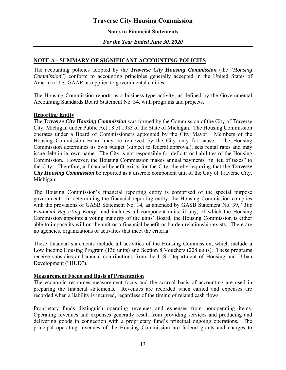#### **Notes to Financial Statements**

*For the Year Ended June 30, 2020* 

#### **NOTE A - SUMMARY OF SIGNIFICANT ACCOUNTING POLICIES**

The accounting policies adopted by the *Traverse City Housing Commission* (the "*Housing Commission*") conform to accounting principles generally accepted in the United States of America (U.S. GAAP) as applied to governmental entities.

The Housing Commission reports as a business-type activity, as defined by the Governmental Accounting Standards Board Statement No. 34, with programs and projects.

#### **Reporting Entity**

The *Traverse City Housing Commission* was formed by the Commission of the City of Traverse City, Michigan under Public Act 18 of 1933 of the State of Michigan. The Housing Commission operates under a Board of Commissioners appointed by the City Mayor. Members of the Housing Commission Board may be removed by the City only for cause. The Housing Commission determines its own budget (subject to federal approval), sets rental rates and may issue debt in its own name. The City is not responsible for deficits or liabilities of the Housing Commission. However, the Housing Commission makes annual payments "in lieu of taxes" to the City. Therefore, a financial benefit exists for the City, thereby requiring that the *Traverse City Housing Commission* be reported as a discrete component unit of the City of Traverse City, Michigan.

The Housing Commission's financial reporting entity is comprised of the special purpose government. In determining the financial reporting entity, the Housing Commission complies with the provisions of GASB Statement No. 14, as amended by GASB Statement No. 39, "*The Financial Reporting Entity*" and includes all component units, if any, of which the Housing Commission appoints a voting majority of the units' Board; the Housing Commission is either able to impose its will on the unit or a financial benefit or burden relationship exists. There are no agencies, organizations or activities that meet the criteria.

These financial statements include all activities of the Housing Commission, which include a Low Income Housing Program (136 units) and Section 8 Vouchers (208 units). These programs receive subsidies and annual contributions from the U.S. Department of Housing and Urban Development ("HUD").

#### **Measurement Focus and Basis of Presentation**

The economic resources measurement focus and the accrual basis of accounting are used in preparing the financial statements. Revenues are recorded when earned and expenses are recorded when a liability is incurred, regardless of the timing of related cash flows.

Proprietary funds distinguish operating revenues and expenses from nonoperating items. Operating revenues and expenses generally result from providing services and producing and delivering goods in connection with a proprietary fund's principal ongoing operations. The principal operating revenues of the Housing Commission are federal grants and charges to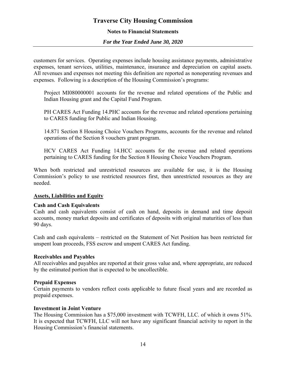#### **Notes to Financial Statements**

#### *For the Year Ended June 30, 2020*

customers for services. Operating expenses include housing assistance payments, administrative expenses, tenant services, utilities, maintenance, insurance and depreciation on capital assets. All revenues and expenses not meeting this definition are reported as nonoperating revenues and expenses. Following is a description of the Housing Commission's programs:

Project MI080000001 accounts for the revenue and related operations of the Public and Indian Housing grant and the Capital Fund Program.

PH CARES Act Funding 14.PHC accounts for the revenue and related operations pertaining to CARES funding for Public and Indian Housing.

14.871 Section 8 Housing Choice Vouchers Programs, accounts for the revenue and related operations of the Section 8 vouchers grant program.

HCV CARES Act Funding 14.HCC accounts for the revenue and related operations pertaining to CARES funding for the Section 8 Housing Choice Vouchers Program.

When both restricted and unrestricted resources are available for use, it is the Housing Commission's policy to use restricted resources first, then unrestricted resources as they are needed.

#### **Assets, Liabilities and Equity**

#### **Cash and Cash Equivalents**

Cash and cash equivalents consist of cash on hand, deposits in demand and time deposit accounts, money market deposits and certificates of deposits with original maturities of less than 90 days.

Cash and cash equivalents – restricted on the Statement of Net Position has been restricted for unspent loan proceeds, FSS escrow and unspent CARES Act funding.

#### **Receivables and Payables**

All receivables and payables are reported at their gross value and, where appropriate, are reduced by the estimated portion that is expected to be uncollectible.

#### **Prepaid Expenses**

Certain payments to vendors reflect costs applicable to future fiscal years and are recorded as prepaid expenses.

#### **Investment in Joint Venture**

The Housing Commission has a \$75,000 investment with TCWFH, LLC. of which it owns 51%. It is expected that TCWFH, LLC will not have any significant financial activity to report in the Housing Commission's financial statements.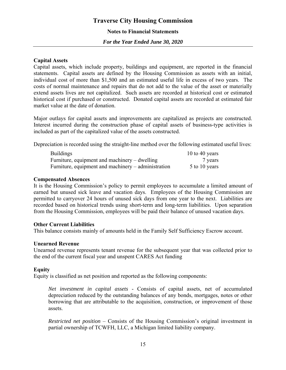#### **Notes to Financial Statements**

*For the Year Ended June 30, 2020* 

#### **Capital Assets**

Capital assets, which include property, buildings and equipment, are reported in the financial statements. Capital assets are defined by the Housing Commission as assets with an initial, individual cost of more than \$1,500 and an estimated useful life in excess of two years. The costs of normal maintenance and repairs that do not add to the value of the asset or materially extend assets lives are not capitalized. Such assets are recorded at historical cost or estimated historical cost if purchased or constructed. Donated capital assets are recorded at estimated fair market value at the date of donation.

Major outlays for capital assets and improvements are capitalized as projects are constructed. Interest incurred during the construction phase of capital assets of business-type activities is included as part of the capitalized value of the assets constructed.

Depreciation is recorded using the straight-line method over the following estimated useful lives:

| <b>Buildings</b>                                    | 10 to 40 years |
|-----------------------------------------------------|----------------|
| Furniture, equipment and machinery $-$ dwelling     | 7 years        |
| Furniture, equipment and machinery – administration | 5 to 10 years  |

#### **Compensated Absences**

It is the Housing Commission's policy to permit employees to accumulate a limited amount of earned but unused sick leave and vacation days. Employees of the Housing Commission are permitted to carryover 24 hours of unused sick days from one year to the next. Liabilities are recorded based on historical trends using short-term and long-term liabilities. Upon separation from the Housing Commission, employees will be paid their balance of unused vacation days.

#### **Other Current Liabilities**

This balance consists mainly of amounts held in the Family Self Sufficiency Escrow account.

#### **Unearned Revenue**

Unearned revenue represents tenant revenue for the subsequent year that was collected prior to the end of the current fiscal year and unspent CARES Act funding

#### **Equity**

Equity is classified as net position and reported as the following components:

*Net investment in capital assets* - Consists of capital assets, net of accumulated depreciation reduced by the outstanding balances of any bonds, mortgages, notes or other borrowing that are attributable to the acquisition, construction, or improvement of those assets.

*Restricted net position* – Consists of the Housing Commission's original investment in partial ownership of TCWFH, LLC, a Michigan limited liability company.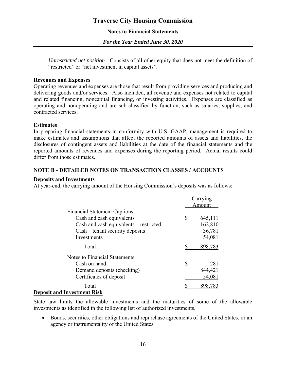**Notes to Financial Statements** 

*For the Year Ended June 30, 2020* 

*Unrestricted net position* - Consists of all other equity that does not meet the definition of "restricted" or "net investment in capital assets".

#### **Revenues and Expenses**

Operating revenues and expenses are those that result from providing services and producing and delivering goods and/or services. Also included, all revenue and expenses not related to capital and related financing, noncapital financing, or investing activities. Expenses are classified as operating and nonoperating and are sub-classified by function, such as salaries, supplies, and contracted services.

#### **Estimates**

In preparing financial statements in conformity with U.S. GAAP, management is required to make estimates and assumptions that affect the reported amounts of assets and liabilities, the disclosures of contingent assets and liabilities at the date of the financial statements and the reported amounts of revenues and expenses during the reporting period. Actual results could differ from those estimates.

#### **NOTE B - DETAILED NOTES ON TRANSACTION CLASSES / ACCOUNTS**

#### **Deposits and Investments**

At year-end, the carrying amount of the Housing Commission's deposits was as follows:

|                                        |    | Carrying<br>Amount |  |
|----------------------------------------|----|--------------------|--|
| <b>Financial Statement Captions</b>    |    |                    |  |
| Cash and cash equivalents              | \$ | 645,111            |  |
| Cash and cash equivalents – restricted |    | 162,810            |  |
| Cash – tenant security deposits        |    | 36,781             |  |
| Investments                            |    | 54,081             |  |
| Total                                  |    | 898,783            |  |
| Notes to Financial Statements          |    |                    |  |
| Cash on hand                           | \$ | 281                |  |
| Demand deposits (checking)             |    | 844,421            |  |
| Certificates of deposit                |    | 54,081             |  |
| Total                                  |    |                    |  |

#### **Deposit and Investment Risk**

State law limits the allowable investments and the maturities of some of the allowable investments as identified in the following list of authorized investments.

• Bonds, securities, other obligations and repurchase agreements of the United States, or an agency or instrumentality of the United States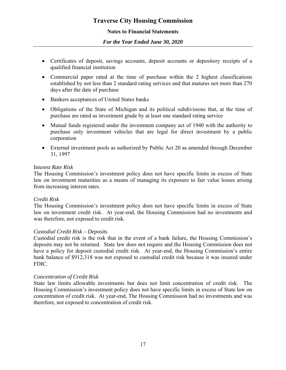#### **Notes to Financial Statements**

#### *For the Year Ended June 30, 2020*

- Certificates of deposit, savings accounts, deposit accounts or depository receipts of a qualified financial institution
- Commercial paper rated at the time of purchase within the 2 highest classifications established by not less than 2 standard rating services and that matures not more than 270 days after the date of purchase
- Bankers acceptances of United States banks
- Obligations of the State of Michigan and its political subdivisions that, at the time of purchase are rated as investment grade by at least one standard rating service
- Mutual funds registered under the investment company act of 1940 with the authority to purchase only investment vehicles that are legal for direct investment by a public corporation
- External investment pools as authorized by Public Act 20 as amended through December 31, 1997

#### Inter*est Rate Risk*

The Housing Commission's investment policy does not have specific limits in excess of State law on investment maturities as a means of managing its exposure to fair value losses arising from increasing interest rates.

#### *Credit Risk*

The Housing Commission's investment policy does not have specific limits in excess of State law on investment credit risk. At year-end, the Housing Commission had no investments and was therefore, not exposed to credit risk.

#### *Custodial Credit Risk – Deposits*

Custodial credit risk is the risk that in the event of a bank failure, the Housing Commission's deposits may not be returned. State law does not require and the Housing Commission does not have a policy for deposit custodial credit risk. At year-end, the Housing Commission's entire bank balance of \$912,318 was not exposed to custodial credit risk because it was insured under FDIC.

#### *Concentration of Credit Risk*

State law limits allowable investments but does not limit concentration of credit risk. The Housing Commission's investment policy does not have specific limits in excess of State law on concentration of credit risk. At year-end, The Housing Commission had no investments and was therefore, not exposed to concentration of credit risk.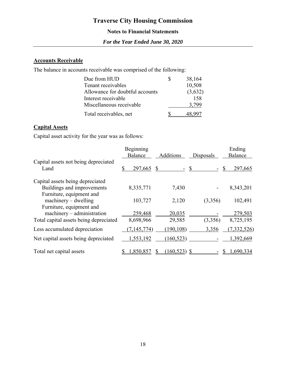## **Notes to Financial Statements**

*For the Year Ended June 30, 2020* 

## **Accounts Receivable**

The balance in accounts receivable was comprised of the following:

| Due from HUD                    | 38,164  |
|---------------------------------|---------|
| Tenant receivables              | 10,508  |
| Allowance for doubtful accounts | (3,632) |
| Interest receivable             | 158     |
| Miscellaneous receivable        | 799     |
| Total receivables, net          |         |

## **Capital Assets**

Capital asset activity for the year was as follows:

|                                        | Beginning<br>Balance | Additions              | Disposals | Ending<br>Balance |
|----------------------------------------|----------------------|------------------------|-----------|-------------------|
| Capital assets not being depreciated   |                      |                        |           |                   |
| Land                                   | \$<br>297,665        | $-$ \$<br>$\mathbb{S}$ |           | \$<br>297,665     |
| Capital assets being depreciated       |                      |                        |           |                   |
| Buildings and improvements             | 8,335,771            | 7,430                  |           | 8,343,201         |
| Furniture, equipment and               |                      |                        |           |                   |
| machinery – dwelling                   | 103,727              | 2,120                  | (3,356)   | 102,491           |
| Furniture, equipment and               |                      |                        |           |                   |
| $machinery - administration$           | 259,468              | 20,035                 |           | 279,503           |
| Total capital assets being depreciated | 8,698,966            | 29,585                 | (3,356)   | 8,725,195         |
| Less accumulated depreciation          | (7,145,774)          | (190, 108)             | 3,356     | (7,332,526)       |
| Net capital assets being depreciated   | 1,553,192            | (160, 523)             |           | 1,392,669         |
| Total net capital assets               | 1,850,857            | (160, 523)             |           | 1,690,334         |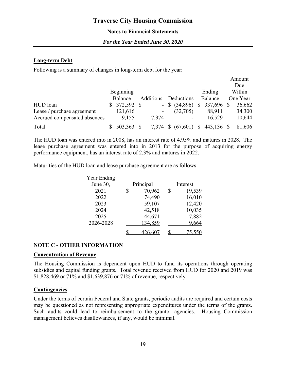#### **Notes to Financial Statements**

*For the Year Ended June 30, 2020* 

#### **Long-term Debt**

Following is a summary of changes in long-term debt for the year:

|                              |              |           |                          |                  | Amount   |
|------------------------------|--------------|-----------|--------------------------|------------------|----------|
|                              |              |           |                          |                  | Due      |
|                              | Beginning    |           |                          | Ending           | Within   |
|                              | Balance      | Additions | Deductions               | Balance          | One Year |
| HUD loan                     | 372,592<br>S |           | (34,896)<br><sup>S</sup> | 337,696 \$<br>\$ | 36,662   |
| Lease / purchase agreement   | 121,616      |           | (32,705)                 | 88,911           | 34,300   |
| Accrued compensated absences | 9,155        | 7,374     |                          | 16,529           | 10,644   |
| Total                        | 503,363      | 7,374     | (67,601                  | 443,136          | 81,606   |

The HUD loan was entered into in 2008, has an interest rate of 4.95% and matures in 2028. The lease purchase agreement was entered into in 2013 for the purpose of acquiring energy performance equipment, has an interest rate of 2.3% and matures in 2022.

Maturities of the HUD loan and lease purchase agreement are as follows:

| Year Ending |              |              |
|-------------|--------------|--------------|
| June 30,    | Principal    | Interest     |
| 2021        | \$<br>70,962 | \$<br>19,539 |
| 2022        | 74,490       | 16,010       |
| 2023        | 59,107       | 12,420       |
| 2024        | 42,518       | 10,035       |
| 2025        | 44,671       | 7,882        |
| 2026-2028   | 134,859      | 9,664        |
|             |              | 75,550       |

#### **NOTE C - OTHER INFORMATION**

#### **Concentration of Revenue**

The Housing Commission is dependent upon HUD to fund its operations through operating subsidies and capital funding grants. Total revenue received from HUD for 2020 and 2019 was \$1,828,469 or 71% and \$1,639,876 or 71% of revenue, respectively.

#### **Contingencies**

Under the terms of certain Federal and State grants, periodic audits are required and certain costs may be questioned as not representing appropriate expenditures under the terms of the grants. Such audits could lead to reimbursement to the grantor agencies. Housing Commission management believes disallowances, if any, would be minimal.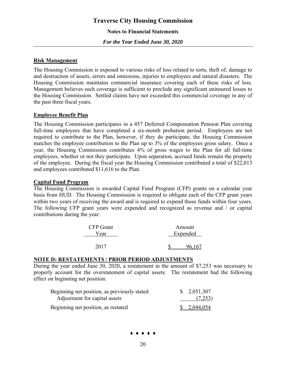**Notes to Financial Statements** 

*For the Year Ended June 30, 2020* 

#### **Risk Management**

The Housing Commission is exposed to various risks of loss related to torts, theft of, damage to and destruction of assets, errors and omissions, injuries to employees and natural disasters. The Housing Commission maintains commercial insurance covering each of these risks of loss. Management believes such coverage is sufficient to preclude any significant uninsured losses to the Housing Commission. Settled claims have not exceeded this commercial coverage in any of the past three fiscal years.

#### **Employee Benefit Plan**

The Housing Commission participates in a 457 Deferred Compensation Pension Plan covering full-time employees that have completed a six-month probation period. Employees are not required to contribute to the Plan, however, if they do participate, the Housing Commission matches the employee contribution to the Plan up to 3% of the employees gross salary. Once a year, the Housing Commission contributes 4% of gross wages to the Plan for all full-time employees, whether or not they participate. Upon separation, accrued funds remain the property of the employee. During the fiscal year the Housing Commission contributed a total of \$22,013 and employees contributed \$11,616 to the Plan.

#### **Capital Fund Program**

The Housing Commission is awarded Capital Fund Program (CFP) grants on a calendar year basis from HUD. The Housing Commission is required to obligate each of the CFP grant years within two years of receiving the award and is required to expend those funds within four years. The following CFP grant years were expended and recognized as revenue and / or capital contributions during the year:

| CFP Grant | Amount   |  |
|-----------|----------|--|
| Year      | Expended |  |
|           |          |  |
| 2017      |          |  |

#### **NOTE D: RESTATEMENTS / PRIOR PERIOD ADJUSTMENTS**

During the year ended June 30, 2020, a restatement in the amount of \$7,253 was necessary to properly account for the overstatement of capital assets. The restatement had the following effect on beginning net position:

| Beginning net position, as previously stated<br>Adjustment for capital assets | $\$ 2,051,307$<br>(7,253) |
|-------------------------------------------------------------------------------|---------------------------|
| Beginning net position, as restated                                           | $\frac{\$}{2,044,054}$    |

♦ ♦ ♦ ♦ ♦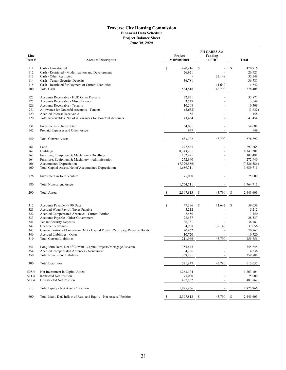#### **Traverse City Housing Commission Financial Data Schedule Project Balance Sheet** *June 30, 2020*

| Line<br>Item# | <b>Account Description</b>                                                  |    | Project<br>MI080000001 |               | PH CARES Act<br><b>Funding</b><br>14.PHC | Total           |
|---------------|-----------------------------------------------------------------------------|----|------------------------|---------------|------------------------------------------|-----------------|
|               |                                                                             |    |                        |               |                                          |                 |
| 111           | Cash - Unrestricted                                                         | \$ | 470,916                | <b>S</b>      |                                          | \$<br>470,916   |
| 112           | Cash - Restricted - Modernization and Development                           |    | 26,921                 |               |                                          | 26,921          |
| 113           | Cash - Other Restricted                                                     |    |                        |               | 32,148                                   | 32,148          |
| 114           | Cash - Tenant Security Deposits                                             |    | 36,781                 |               |                                          | 36,781          |
| 115           | Cash - Restricted for Payment of Current Liabilities                        |    |                        |               | 11,642                                   | 11,642          |
| 100           | <b>Total Cash</b>                                                           |    | 534,618                |               | 43,790                                   | 578,408         |
| 122           | Accounts Receivable - HUD Other Projects                                    |    | 32,871                 |               |                                          | 32,871          |
| 125           | Accounts Receivable - Miscellaneous                                         |    | 3,549                  |               |                                          | 3,549           |
| 126           | Accounts Receivable - Tenants                                               |    | 10,508                 |               |                                          | 10,508          |
| 126.1         | Allowance for Doubtful Accounts - Tenants                                   |    | (3,632)                |               |                                          | (3,632)         |
| 129           | Accrued Interest Receivable                                                 |    | 158                    |               |                                          | 158             |
| 120           | Total Receivables, Net of Allowances for Doubtful Accounts                  |    | 43,454                 |               |                                          | 43,454          |
| 131           | Investments - Unrestricted                                                  |    | 54,081                 |               |                                          | 54,081          |
| 142           | Prepaid Expenses and Other Assets                                           |    | 949                    |               |                                          | 949             |
| 150           | <b>Total Current Assets</b>                                                 |    | 633,102                |               | 43,790                                   | 676,892         |
| 161           | Land                                                                        |    | 297,665                |               |                                          | 297,665         |
| 162           | <b>Buildings</b>                                                            |    | 8,343,201              |               |                                          | 8,343,201       |
| 163           | Furniture, Equipment & Machinery - Dwellings                                |    | 102,491                |               |                                          | 102,491         |
| 164           | Furniture, Equipment & Machinery - Administration                           |    | 272,940                |               |                                          | 272,940         |
| 166           | <b>Accumulated Depreciation</b>                                             |    | (7,326,586)            |               |                                          | (7,326,586)     |
| 160           | Total Capital Assets, Net of Accumulated Depreciation                       |    | 1,689,711              |               |                                          | 1,689,711       |
| 176           | Investment in Joint Venture                                                 |    | 75,000                 |               |                                          | 75,000          |
| 180           | <b>Total Noncurrent Assets</b>                                              |    | 1,764,711              |               |                                          | 1,764,711       |
| 290           | <b>Total Assets</b>                                                         | \$ | 2,397,813              | \$            | 43,790                                   | \$<br>2,441,603 |
|               |                                                                             |    |                        |               |                                          |                 |
| 312           | Accounts Payable <= 90 Days                                                 | \$ | 47,396                 | <sup>\$</sup> | 11,642                                   | \$<br>59,038    |
| 321           | Accrued Wage/Payroll Taxes Payable                                          |    | 5,212                  |               |                                          | 5,212           |
| 322           | Accrued Compensated Absences - Current Portion                              |    | 7,450                  |               |                                          | 7,450           |
| 333           | Accounts Payable - Other Government                                         |    | 28,537                 |               |                                          | 28,537          |
| 341           | <b>Tenant Security Deposits</b>                                             |    | 36,781                 |               |                                          | 36,781          |
| 342           | <b>Unearned Revenues</b>                                                    |    | 4,908                  |               | 32,148                                   | 37,056          |
| 343           | Current Portion of Long-term Debt - Capital Projects/Mortgage Revenue Bonds |    | 70,962                 |               |                                          | 70,962          |
| 346           | Accrued Liabilities - Other                                                 |    | 10,720                 |               |                                          | 10,720          |
| 310           | <b>Total Current Liabilities</b>                                            |    | 211,966                |               | 43,790                                   | 255,756         |
| 351           | Long-term Debt, Net of Current - Capital Projects/Mortgage Revenue          |    | 355,645                |               |                                          | 355,645         |
| 354           | Accrued Compensated Absences - Noncurrent                                   |    | 4,236                  |               |                                          | 4,236           |
| 350           | <b>Total Noncurrent Liabilities</b>                                         |    | 359,881                |               | $\sim$                                   | 359,881         |
| 300           | <b>Total Liabilities</b>                                                    |    | 571,847                |               | 43,790                                   | 615,637         |
| 508.4         | Net Investment in Capital Assets                                            |    | 1,263,104              |               |                                          | 1,263,104       |
| 511.4         | <b>Restricted Net Position</b>                                              |    | 75,000                 |               |                                          | 75,000          |
| 512.4         | <b>Unrestricted Net Position</b>                                            |    | 487,862                |               |                                          | 487,862         |
| 513           | Total Equity - Net Assets / Position                                        |    | 1,825,966              |               |                                          | 1,825,966       |
| 600           | Total Liab., Def. Inflow of Res., and Equity - Net Assets / Position        | S. | 2,397,813              | S             | 43,790                                   | \$<br>2,441,603 |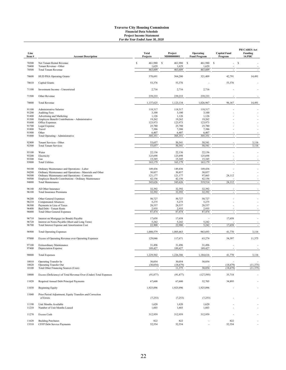#### **Traverse City Housing Commission Financial Data Schedule Project Income Statement** *For the Year Ended June 30, 2020*

| Line<br>Item # | <b>Account Description</b>                                                                      | Total<br>Projects      | Project<br>MI080000001 | Operating<br><b>Fund Program</b> | <b>Capital Fund</b><br>Program | <b>PH CARES Act</b><br>Funding<br>14.PHC |
|----------------|-------------------------------------------------------------------------------------------------|------------------------|------------------------|----------------------------------|--------------------------------|------------------------------------------|
| 70300<br>70400 | Net Tenant Rental Revenue<br>Tenant Revenue - Other                                             | \$<br>461,980<br>1,629 | 461,980<br>-S<br>1,629 | 461,980<br>-S<br>1,629           | <sup>\$</sup><br>÷.            | -S                                       |
| 70500          | <b>Total Tenant Revenue</b>                                                                     | 463,609                | 463,609                | 463,609                          | ä,                             |                                          |
| 70600          | HUD PHA Operating Grants                                                                        | 378,691                | 364,200                | 321,409                          | 42,791                         | 14,491                                   |
| 70610          | Capital Grants                                                                                  | 53,376                 | 53,376                 |                                  | 53,376                         |                                          |
| 71100          | Investment Income - Unrestricted                                                                | 2,716                  | 2,716                  | 2,716                            |                                |                                          |
| 71500          | Other Revenue                                                                                   | 239,233                | 239,233                | 239,233                          |                                |                                          |
| 70000          | <b>Total Revenue</b>                                                                            | 1,137,625              | 1,123,134              | 1,026,967                        | 96,167                         | 14,491                                   |
| 91100          | <b>Administrative Salaries</b>                                                                  | 118,317                | 118,317                | 118,317                          |                                |                                          |
| 91200          | <b>Auditing Fees</b>                                                                            | 3,100                  | 3,100                  | 3,100                            |                                |                                          |
| 91400          | Advertising and Marketing                                                                       | 1,126                  | 1,126                  | 1,126                            |                                |                                          |
| 91500          | Employee Benefit Contributions - Administrative                                                 | 19,262                 | 19,262                 | 19,262                           |                                |                                          |
| 91600<br>91700 | Office Expenses                                                                                 | 123,973<br>25,780      | 123,973<br>25,780      | 123,973<br>25,780                |                                |                                          |
| 91800          | Legal Expense<br>Travel                                                                         | 7,386                  | 7,386                  | 7,386                            |                                |                                          |
| 91900          | Other                                                                                           | 6,407                  | 6,407                  | 6,407                            |                                |                                          |
| 91000          | Total Operating - Administrative                                                                | 305,351                | 305,351                | 305,351                          | ÷,                             | $\mathcal{L}_{\mathcal{A}}$              |
| 92400          | Tenant Services - Other                                                                         | 53,657                 | 50,541                 | 50,541                           |                                | 3,116                                    |
| 92500          | <b>Total Tenant Services</b>                                                                    | 53,657                 | 50,541                 | 50,541                           | $\overline{\phantom{a}}$       | 3,116                                    |
| 93100          | Water                                                                                           | 22,136                 | 22,136                 | 22,136                           |                                |                                          |
| 93200          | Electricity                                                                                     | 125,698                | 125,698                | 125,698                          |                                |                                          |
| 93300          | Gas                                                                                             | 15,345                 | 15,345                 | 15,345                           |                                |                                          |
| 93000          | <b>Total Utilities</b>                                                                          | 163,179                | 163,179                | 163,179                          | $\overline{\phantom{a}}$       | $\sim$                                   |
| 94100          | Ordinary Maintenance and Operations - Labor                                                     | 149,436                | 149,436                | 149,436                          |                                |                                          |
| 94200          | Ordinary Maintenance and Operations - Materials and Other                                       | 30,857                 | 30,857                 | 30,857                           |                                |                                          |
| 94300          | Ordinary Maintenance and Operations - Contracts                                                 | 121,177                | 121,177                | 97,065                           | 24,112                         |                                          |
| 94500<br>94000 | Employee Benefit Contributions - Ordinary Maintenance<br>Total Maintenance                      | 42,156<br>343,626      | 42,156<br>343,626      | 42,156<br>319,514                | 24,112                         | $\sim$                                   |
|                |                                                                                                 |                        |                        |                                  |                                |                                          |
| 96140          | All Other Insurance                                                                             | 32,392                 | 32,392                 | 32,392                           |                                |                                          |
| 96100          | <b>Total Insurance Premiums</b>                                                                 | 32,392                 | 32,392                 | 32,392                           |                                | $\sim$                                   |
| 96200          | Other General Expenses                                                                          | 50,727                 | 50,727                 | 50,727                           |                                |                                          |
| 96210          | Compensated Absences                                                                            | 5,275                  | 5,275                  | 5,275                            |                                |                                          |
| 96300<br>96400 | Payments in Lieu of Taxes<br>Bad Debt - Tenant Rents                                            | 28,537<br>2,935        | 28,537<br>2,935        | 28,537<br>2,935                  |                                |                                          |
| 96000          | Total Other General Expenses                                                                    | 87,474                 | 87,474                 | 87,474                           |                                |                                          |
|                |                                                                                                 |                        |                        |                                  |                                |                                          |
| 96710          | Interest on Mortgage (or Bonds) Payable                                                         | 17,658                 | 17,658                 |                                  | 17,658                         |                                          |
| 96720<br>96700 | Interest on Notes Payable (Short and Long Term)<br>Total Interest Expense and Amortization Cost | 5,242<br>22,900        | 5,242<br>22,900        | 5,242<br>5,242                   | 17,658                         | $\overline{\phantom{a}}$                 |
| 96900          | <b>Total Operating Expenses</b>                                                                 | 1,008,579              | 1,005,463              | 963,693                          | 41,770                         | 3,116                                    |
| 97000          | Excess of Operating Revenue over Operating Expenses                                             | 129,046                | 117,671                | 63,274                           | 54,397                         | 11,375                                   |
| 97100          | <b>Extraordinary Maintenance</b>                                                                | 31,496                 | 31,496                 | 31,496                           |                                |                                          |
| 97400          | Depreciation Expense                                                                            | 189,427                | 189,427                | 189,427                          |                                |                                          |
| 90000          | <b>Total Expenses</b>                                                                           | 1,229,502              | 1,226,386              | 1,184,616                        | 41,770                         | 3,116                                    |
| 10010          | Operating Transfer In                                                                           | 30,054                 | 30,054                 | 30,054                           |                                |                                          |
| 10020          | <b>Operating Transfer Out</b>                                                                   | (30, 054)              | (18, 679)              |                                  | (18, 679)                      | (11, 375)                                |
| 10100          | Total Other Financing Sources (Uses)                                                            |                        | 11,375                 | 30,054                           | (18, 679)                      | (11, 375)                                |
| 10000          | Excess (Deficiency) of Total Revenue Over (Under) Total Expenses                                | (91, 877)              | (91, 877)              | (127, 595)                       | 35,718                         | ÷,                                       |
| 11020          | Required Annual Debt Principal Payments                                                         | 67,600                 | 67,600                 | 32,705                           | 34,895                         | $\overline{\phantom{a}}$                 |
| 11030          | <b>Beginning Equity</b>                                                                         | 1,925,096              | 1,925,096              | 1,925,096                        |                                |                                          |
| 11040          | Prior Period Adjustment, Equity Transfers and Correction                                        |                        |                        |                                  |                                |                                          |
|                | of Errors                                                                                       | (7,253)                | (7,253)                | (7,253)                          |                                |                                          |
| 11190          | Unit Months Available                                                                           | 1,620                  | 1,620                  | 1,620                            |                                |                                          |
| 11210          | Number of Unit Months Leased                                                                    | 1,603                  | 1,603                  | 1,603                            |                                |                                          |
| 11270          | Excess Cash                                                                                     | 312,959                | 312,959                | 312,959                          |                                |                                          |
| 11620          | <b>Building Purchases</b>                                                                       | 822                    | 822                    |                                  | 822                            |                                          |
| 13510          | CFFP Debt Service Payments                                                                      | 52,554                 | 52,554                 |                                  | 52,554                         |                                          |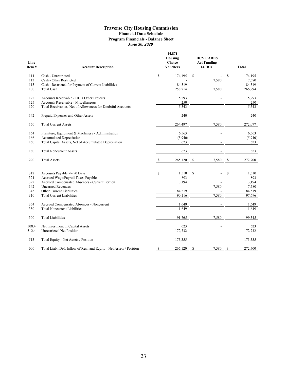#### **Traverse City Housing Commission Financial Data Schedule Program Financials - Balance Sheet**

*June 30, 2020*

| Line<br>Item# | <b>Account Description</b>                                           | 14.871<br>Housing<br><b>Choice</b><br><b>Vouchers</b> | <b>HCV CARES</b><br><b>Act Funding</b><br><b>14.HCC</b> |             | <b>Total</b> |
|---------------|----------------------------------------------------------------------|-------------------------------------------------------|---------------------------------------------------------|-------------|--------------|
| 111           | Cash - Unrestricted                                                  | \$<br>174,195                                         | \$                                                      | $\mathbf S$ | 174,195      |
| 113           | Cash - Other Restricted                                              |                                                       | 7,580                                                   |             | 7,580        |
| 115           | Cash - Restricted for Payment of Current Liabilities                 | 84,519                                                |                                                         |             | 84,519       |
| 100           | <b>Total Cash</b>                                                    | 258,714                                               | 7,580                                                   |             | 266,294      |
| 122           | Accounts Receivable - HUD Other Projects                             | 5,293                                                 |                                                         |             | 5,293        |
| 125           | Accounts Receivable - Miscellaneous                                  | 250                                                   |                                                         |             | 250          |
| 120           | Total Receivables, Net of Allowances for Doubtful Accounts           | 5,543                                                 |                                                         |             | 5,543        |
| 142           | Prepaid Expenses and Other Assets                                    | 240                                                   |                                                         |             | 240          |
| 150           | <b>Total Current Assets</b>                                          | 264,497                                               | 7,580                                                   |             | 272,077      |
| 164           | Furniture, Equipment & Machinery - Administration                    | 6,563                                                 |                                                         |             | 6,563        |
| 166           | <b>Accumulated Depreciation</b>                                      | (5,940)                                               |                                                         |             | (5,940)      |
| 160           | Total Capital Assets, Net of Accumulated Depreciation                | 623                                                   |                                                         |             | 623          |
| 180           | <b>Total Noncurrent Assets</b>                                       | 623                                                   |                                                         |             | 623          |
| 290           | <b>Total Assets</b>                                                  | \$<br>265,120                                         | \$<br>7,580                                             | \$          | 272,700      |
|               |                                                                      |                                                       |                                                         |             |              |
| 312           | Accounts Payable <= 90 Days                                          | \$<br>1,510                                           | \$                                                      | \$          | 1,510        |
| 321           | Accrued Wage/Payroll Taxes Payable                                   | 893                                                   |                                                         |             | 893          |
| 322           | Accrued Compensated Absences - Current Portion                       | 3,194                                                 |                                                         |             | 3,194        |
| 342           | <b>Unearned Revenues</b>                                             |                                                       | 7,580                                                   |             | 7,580        |
| 345           | Other Current Liabilities                                            | 84,519                                                |                                                         |             | 84,519       |
| 310           | <b>Total Current Liabilities</b>                                     | 90,116                                                | 7.580                                                   |             | 97,696       |
| 354           | Accrued Compensated Absences - Noncurrent                            | 1,649                                                 |                                                         |             | 1,649        |
| 350           | <b>Total Noncurrent Liabilities</b>                                  | 1.649                                                 |                                                         |             | 1.649        |
| 300           | <b>Total Liabilities</b>                                             | 91,765                                                | 7,580                                                   |             | 99,345       |
| 508.4         | Net Investment in Capital Assets                                     | 623                                                   |                                                         |             | 623          |
| 512.4         | <b>Unrestricted Net Position</b>                                     | 172,732                                               |                                                         |             | 172,732      |
| 513           | Total Equity - Net Assets / Position                                 | 173,355                                               |                                                         |             | 173,355      |
| 600           | Total Liab., Def. Inflow of Res., and Equity - Net Assets / Position | \$<br>265,120                                         | \$<br>7,580                                             | \$          | 272,700      |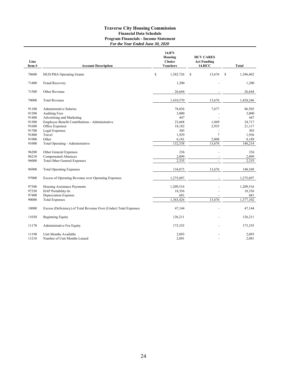#### **Traverse City Housing Commission Financial Data Schedule Program Financials - Income Statement** *For the Year Ended June 30, 2020*

| Line           |                                                                  | 14.871<br>Housing<br><b>Choice</b> |              | <b>HCV CARES</b><br><b>Act Funding</b> |                 |
|----------------|------------------------------------------------------------------|------------------------------------|--------------|----------------------------------------|-----------------|
| Item#          | <b>Account Description</b>                                       | <b>Vouchers</b>                    |              | <b>14.HCC</b>                          | <b>Total</b>    |
| 70600          | HUD PHA Operating Grants                                         | \$<br>1,382,726                    | $\mathbb{S}$ | 13,676                                 | \$<br>1,396,402 |
| 71400          | Fraud Recovery                                                   | 1,200                              |              |                                        | 1,200           |
| 71500          | Other Revenue                                                    | 26,644                             |              |                                        | 26,644          |
| 70000          | <b>Total Revenue</b>                                             | 1,410,570                          |              | 13,676                                 | 1,424,246       |
| 91100          | <b>Administrative Salaries</b>                                   | 78,826                             |              | 7,677                                  | 86,503          |
| 91200          | <b>Auditing Fees</b>                                             | 3,000                              |              |                                        | 3,000           |
| 91400          | Advertising and Marketing                                        | 447                                |              |                                        | 447             |
| 91500<br>91600 | Employee Benefit Contributions - Administrative                  | 23,668<br>18,182                   |              | 1,049<br>2,935                         | 24,717          |
| 91700          | Office Expenses<br>Legal Expenses                                | 305                                |              |                                        | 21,117<br>305   |
| 91800          | Travel                                                           | 1,929                              |              | $\overline{7}$                         | 1,936           |
| 91900          | Other                                                            | 6,181                              |              | 2,008                                  | 8,189           |
| 91000          | Total Operating - Administrative                                 | 132,538                            |              | 13,676                                 | 146,214         |
|                |                                                                  |                                    |              |                                        |                 |
| 96200          | Other General Expenses                                           | 236                                |              |                                        | 236             |
| 96210          | <b>Compensated Absences</b>                                      | 2,099                              |              |                                        | 2,099           |
| 96000          | <b>Total Other General Expenses</b>                              | 2,335                              |              | $\overline{\phantom{a}}$               | 2,335           |
|                |                                                                  |                                    |              |                                        |                 |
| 96900          | <b>Total Operating Expenses</b>                                  | 134,873                            |              | 13,676                                 | 148,549         |
| 97000          | Excess of Operating Revenue over Operating Expenses              | 1,275,697                          |              |                                        | 1,275,697       |
| 97300          | Housing Assistance Payments                                      | 1,209,516                          |              |                                        | 1,209,516       |
| 97350          | HAP Portability-In                                               | 18,356                             |              |                                        | 18,356          |
| 97400          | Depreciation Expense                                             | 681                                |              |                                        | 681             |
| 90000          | <b>Total Expenses</b>                                            | 1,363,426                          |              | 13,676                                 | 1,377,102       |
| 10000          | Excess (Deficiency) of Total Revenue Over (Under) Total Expenses | 47,144                             |              |                                        | 47,144          |
| 11030          | <b>Beginning Equity</b>                                          | 126,211                            |              |                                        | 126,211         |
| 11170          | Administrative Fee Equity                                        | 173,355                            |              |                                        | 173,355         |
| 11190          | Unit Months Available                                            | 2,093                              |              |                                        | 2,093           |
| 11210          | Number of Unit Months Leased                                     | 2,081                              |              |                                        | 2,081           |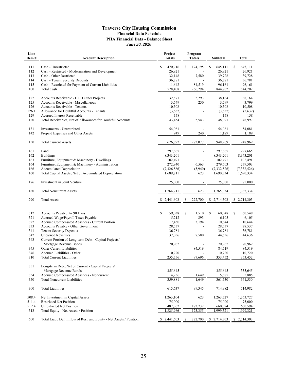#### **Financial Data Schedule**

**PHA Financial Data - Balance Sheet**

*June 30, 2020*

| Line<br>Item# | <b>Account Description</b>                                                      | Project<br><b>Totals</b> | Program<br><b>Totals</b> | Subtotal        | <b>Total</b>    |
|---------------|---------------------------------------------------------------------------------|--------------------------|--------------------------|-----------------|-----------------|
|               |                                                                                 |                          |                          |                 |                 |
| 111           | Cash - Unrestricted                                                             | \$<br>470,916            | 174,195<br>\$            | \$<br>645,111   | \$<br>645,111   |
| 112           | Cash - Restricted - Modernization and Development                               | 26,921                   |                          | 26,921          | 26,921          |
| 113           | Cash - Other Restricted                                                         | 32,148                   | 7,580                    | 39,728          | 39,728          |
| 114           | Cash - Tenant Security Deposits                                                 | 36,781                   |                          | 36,781          | 36,781          |
| 115           | Cash - Restricted for Payment of Current Liabilities                            | 11,642                   | 84,519                   | 96,161          | 96,161          |
| 100           | <b>Total Cash</b>                                                               | 578,408                  | 266,294                  | 844,702         | 844,702         |
|               |                                                                                 |                          |                          |                 |                 |
| 122<br>125    | Accounts Receivable - HUD Other Projects<br>Accounts Receivable - Miscellaneous | 32,871<br>3,549          | 5,293<br>250             | 38,164<br>3,799 | 38,164<br>3,799 |
| 126           | <b>Accounts Receivable - Tenants</b>                                            | 10,508                   |                          | 10,508          | 10,508          |
| 126.1         | Allowance for Doubtful Accounts - Tenants                                       | (3,632)                  |                          | (3,632)         | (3,632)         |
| 129           | <b>Accrued Interest Receivable</b>                                              | 158                      |                          | 158             | 158             |
| 120           | Total Receivables, Net of Allowances for Doubtful Accounts                      | 43,454                   | 5,543                    | 48.997          | 48,997          |
|               |                                                                                 |                          |                          |                 |                 |
| 131           | Investments - Unrestricted                                                      | 54,081                   |                          | 54,081          | 54,081          |
| 142           | Prepaid Expenses and Other Assets                                               | 949                      | 240                      | 1,189           | 1,189           |
| 150           | <b>Total Current Assets</b>                                                     | 676,892                  | 272,077                  | 948,969         | 948,969         |
|               |                                                                                 |                          |                          |                 |                 |
| 161           | Land                                                                            | 297,665                  |                          | 297,665         | 297,665         |
| 162           | <b>Buildings</b>                                                                | 8,343,201                |                          | 8,343,201       | 8,343,201       |
| 163           | Furniture, Equipment & Machinery - Dwellings                                    | 102,491                  |                          | 102,491         | 102,491         |
| 164           | Furniture, Equipment & Machinery - Administration                               | 272,940                  | 6,563                    | 279,503         | 279,503         |
| 166           | <b>Accumulated Depreciation</b>                                                 | (7,326,586)              | (5,940)                  | (7, 332, 526)   | (7,332,526)     |
| 160           | Total Capital Assets, Net of Accumulated Depreciation                           | 1,689,711                | 623                      | 1,690,334       | 1,690,334       |
| 176           | Investment in Joint Venture                                                     | 75,000                   |                          | 75,000          | 75,000          |
| 180           | <b>Total Noncurrent Assets</b>                                                  | 1,764,711                | 623                      | 1,765,334       | 1,765,334       |
| 290           | <b>Total Assets</b>                                                             | \$2,441,603              | \$<br>272,700            | \$2,714,303     | \$2,714,303     |
|               |                                                                                 |                          |                          |                 |                 |
|               |                                                                                 |                          |                          |                 |                 |
| 312           | Accounts Payable <= 90 Days                                                     | \$<br>59,038             | \$<br>1,510              | \$<br>60,548    | \$<br>60,548    |
| 321           | Accrued Wage/Payroll Taxes Payable                                              | 5,212                    | 893                      | 6,105           | 6,105           |
| 322           | Accrued Compensated Absences - Current Portion                                  | 7,450                    | 3,194                    | 10,644          | 10,644          |
| 333           | Accounts Payable - Other Government                                             | 28,537                   |                          | 28,537          | 28,537          |
| 341           | <b>Tenant Security Deposits</b>                                                 | 36,781                   |                          | 36,781          | 36,781          |
| 342           | <b>Unearned Revenues</b>                                                        | 37,056                   | 7,580                    | 44,636          | 44,636          |
| 343           | Current Portion of Long-term Debt - Capital Projects/                           |                          |                          |                 |                 |
|               | Mortgage Revenue Bonds                                                          | 70,962                   |                          | 70.962          | 70,962          |
| 345           | Other Current Liabilities                                                       |                          | 84,519                   | 84,519          | 84,519          |
| 346           | Accrued Liabilities - Other                                                     | 10,720                   |                          | 10,720          | 10,720          |
| 310           | <b>Total Current Liabilities</b>                                                | 255,756                  | 97,696                   | 353,452         | 353,452         |
| 351           | Long-term Debt, Net of Current - Capital Projects/<br>Mortgage Revenue Bonds    | 355,645                  |                          | 355,645         |                 |
|               | Accrued Compensated Absences - Noncurrent                                       |                          |                          |                 | 355,645         |
| 354           |                                                                                 | 4,236                    | 1,649                    | 5,885           | 5,885           |
| 350           | <b>Total Noncurrent Liabilities</b>                                             | 359,881                  | 1,649                    | 361,530         | 361,530         |
| 300           | <b>Total Liabilities</b>                                                        | 615,637                  | 99,345                   | 714,982         | 714,982         |
| 508.4         | Net Investment in Capital Assets                                                | 1,263,104                | 623                      | 1,263,727       | 1,263,727       |
| 511.4         | <b>Restricted Net Position</b>                                                  | 75,000                   |                          | 75,000          | 75,000          |
| 512.4         | <b>Unrestricted Net Position</b>                                                | 487,862                  | 172,732                  | 660,594         | 660,594         |
| 513           | Total Equity - Net Assets / Position                                            | 1,825,966                | 173,355                  | 1,999,321       | 1,999,321       |
| 600           | Total Liab., Def. Inflow of Res., and Equity - Net Assets / Position            | \$2,441,603              | 272,700<br>S.            | \$2,714,303     | 2,714,303<br>\$ |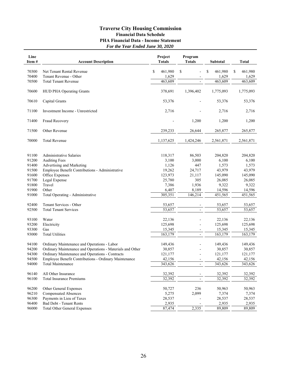#### **Traverse City Housing Commission Financial Data Schedule PHA Financial Data - Income Statement** *For the Year Ended June 30, 2020*

| Line<br>Item# | <b>Account Description</b>                                | Project<br><b>Totals</b> | Program<br><b>Totals</b> | Subtotal                | <b>Total</b>     |
|---------------|-----------------------------------------------------------|--------------------------|--------------------------|-------------------------|------------------|
| 70300         | Net Tenant Rental Revenue                                 | \$<br>461,980            | \$                       | $\mathbb{S}$<br>461,980 | \$<br>461,980    |
| 70400         | Tenant Revenue - Other                                    | 1,629                    |                          | 1,629                   | 1,629            |
| 70500         | <b>Total Tenant Revenue</b>                               | 463,609                  |                          | 463,609                 | 463,609          |
|               |                                                           |                          | $\overline{\phantom{a}}$ |                         |                  |
| 70600         | HUD PHA Operating Grants                                  | 378,691                  | 1,396,402                | 1,775,093               | 1,775,093        |
| 70610         | Capital Grants                                            | 53,376                   |                          | 53,376                  | 53,376           |
| 71100         | Investment Income - Unrestricted                          | 2,716                    |                          | 2,716                   | 2,716            |
| 71400         | Fraud Recovery                                            |                          | 1,200                    | 1,200                   | 1,200            |
| 71500         | Other Revenue                                             | 239,233                  | 26,644                   | 265,877                 | 265,877          |
| 70000         | <b>Total Revenue</b>                                      | 1,137,625                | 1,424,246                | 2,561,871               | 2,561,871        |
| 91100         | Administrative Salaries                                   | 118,317                  | 86,503                   | 204,820                 | 204,820          |
| 91200         | <b>Auditing Fees</b>                                      | 3,100                    | 3,000                    | 6,100                   | 6,100            |
| 91400         | Advertising and Marketing                                 | 1,126                    | 447                      | 1,573                   | 1,573            |
| 91500         | Employee Benefit Contributions - Administrative           | 19,262                   | 24,717                   | 43,979                  | 43,979           |
| 91600         | Office Expenses                                           | 123,973                  | 21,117                   | 145,090                 | 145,090          |
| 91700         | Legal Expense                                             | 25,780                   | 305                      | 26,085                  | 26,085           |
| 91800         | Travel                                                    | 7,386                    | 1,936                    | 9,322                   | 9,322            |
| 91900         | Other                                                     | 6,407                    | 8,189                    | 14,596                  | 14,596           |
| 91000         | Total Operating - Administrative                          | 305,351                  | 146,214                  | 451,565                 | 451,565          |
|               |                                                           |                          |                          |                         |                  |
| 92400         | Tenant Services - Other                                   | 53,657                   |                          | 53,657                  | 53,657           |
| 92500         | <b>Total Tenant Services</b>                              | 53,657                   | $\overline{\phantom{a}}$ | 53,657                  | 53,657           |
|               |                                                           |                          |                          |                         |                  |
| 93100         | Water                                                     | 22,136                   |                          | 22,136                  | 22,136           |
| 93200         | Electricity                                               | 125,698                  | $\overline{a}$           | 125,698                 | 125,698          |
| 93300         | Gas                                                       | 15,345                   | $\overline{\phantom{a}}$ | 15,345                  | 15,345           |
| 93000         | <b>Total Utilities</b>                                    | 163,179                  | $\overline{\phantom{a}}$ | 163,179                 | 163,179          |
|               |                                                           |                          |                          |                         |                  |
| 94100         | Ordinary Maintenance and Operations - Labor               | 149,436                  |                          | 149,436                 | 149,436          |
| 94200         | Ordinary Maintenance and Operations - Materials and Other | 30,857                   |                          | 30,857                  | 30,857           |
| 94300         | Ordinary Maintenance and Operations - Contracts           | 121,177                  |                          | 121,177                 | 121,177          |
| 94500         | Employee Benefit Contributions - Ordinary Maintenance     | 42,156                   | $\overline{a}$           | 42,156                  | 42,156           |
| 94000         | Total Maintenance                                         | 343,626                  |                          | 343,626                 | 343,626          |
| 96140         | All Other Insurance                                       | 32,392                   |                          | 32,392                  |                  |
|               | <b>Total Insurance Premiums</b>                           | 32,392                   |                          | 32,392                  | 32,392<br>32,392 |
| 96100         |                                                           |                          | $\overline{\phantom{a}}$ |                         |                  |
| 96200         | Other General Expenses                                    | 50,727                   | 236                      | 50,963                  | 50,963           |
| 96210         | <b>Compensated Absences</b>                               | 5,275                    | 2,099                    | 7,374                   | 7,374            |
| 96300         | Payments in Lieu of Taxes                                 | 28,537                   |                          | 28,537                  | 28,537           |
| 96400         | Bad Debt - Tenant Rents                                   | 2,935                    |                          | 2,935                   | 2,935            |
| 96000         | <b>Total Other General Expenses</b>                       | 87,474                   | 2,335                    | 89,809                  | 89,809           |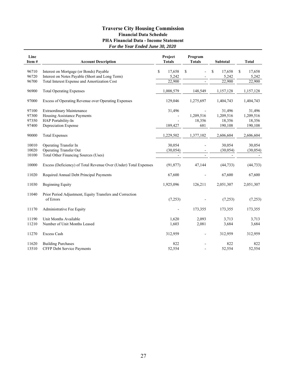#### **Traverse City Housing Commission Financial Data Schedule PHA Financial Data - Income Statement** *For the Year Ended June 30, 2020*

| Line<br>Item# | <b>Account Description</b>                                            | Project<br><b>Totals</b> | Program<br><b>Totals</b> | <b>Subtotal</b> | <b>Total</b>           |
|---------------|-----------------------------------------------------------------------|--------------------------|--------------------------|-----------------|------------------------|
| 96710         | Interest on Mortgage (or Bonds) Payable                               | \$<br>17,658             | \$                       | S<br>17,658     | $\mathbb{S}$<br>17,658 |
| 96720         | Interest on Notes Payable (Short and Long Term)                       | 5,242                    |                          | 5,242           | 5,242                  |
| 96700         | Total Interest Expense and Amortization Cost                          | 22,900                   |                          | 22,900          | 22,900                 |
| 96900         | <b>Total Operating Expenses</b>                                       | 1,008,579                | 148,549                  | 1,157,128       | 1,157,128              |
| 97000         | Excess of Operating Revenue over Operating Expenses                   | 129,046                  | 1,275,697                | 1,404,743       | 1,404,743              |
| 97100         | <b>Extraordinary Maintenance</b>                                      | 31,496                   |                          | 31,496          | 31,496                 |
| 97300         | Housing Assistance Payments                                           |                          | 1,209,516                | 1,209,516       | 1,209,516              |
| 97350         | HAP Portability-In                                                    |                          | 18,356                   | 18,356          | 18,356                 |
| 97400         | Depreciation Expense                                                  | 189,427                  | 681                      | 190,108         | 190,108                |
| 90000         | <b>Total Expenses</b>                                                 | 1,229,502                | 1,377,102                | 2,606,604       | 2,606,604              |
| 10010         | Operating Transfer In                                                 | 30,054                   |                          | 30,054          | 30,054                 |
| 10020         | Operating Transfer Out                                                | (30, 054)                |                          | (30, 054)       | (30,054)               |
| 10100         | Total Other Financing Sources (Uses)                                  |                          |                          |                 |                        |
| 10000         | Excess (Deficiency) of Total Revenue Over (Under) Total Expenses      | (91, 877)                | 47,144                   | (44, 733)       | (44, 733)              |
| 11020         | Required Annual Debt Principal Payments                               | 67,600                   |                          | 67,600          | 67,600                 |
| 11030         | <b>Beginning Equity</b>                                               | 1,925,096                | 126,211                  | 2,051,307       | 2,051,307              |
| 11040         | Prior Period Adjustment, Equity Transfers and Correction<br>of Errors | (7,253)                  |                          | (7,253)         | (7,253)                |
| 11170         | Administrative Fee Equity                                             |                          | 173,355                  | 173,355         | 173,355                |
| 11190         | Unit Months Available                                                 | 1,620                    | 2,093                    | 3,713           | 3,713                  |
| 11210         | Number of Unit Months Leased                                          | 1,603                    | 2,081                    | 3,684           | 3,684                  |
| 11270         | Excess Cash                                                           | 312,959                  |                          | 312,959         | 312,959                |
| 11620         | <b>Building Purchases</b>                                             | 822                      |                          | 822             | 822                    |
| 13510         | CFFP Debt Service Payments                                            | 52,554                   |                          | 52,554          | 52,554                 |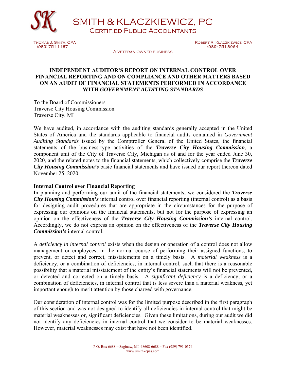

SMITH & KLACZKIEWICZ, PC Certified Public Accountants

Thomas J. Smith, CPA Robert R. Klaczkiewicz, CPA Robert R. Klaczkiewicz, CPA Robert R. Klaczkiewicz, CPA Robert R. Klaczkiewicz, CPA (989) (989) 751-3064

A veteran owned business

#### **INDEPENDENT AUDITOR'S REPORT ON INTERNAL CONTROL OVER FINANCIAL REPORTING AND ON COMPLIANCE AND OTHER MATTERS BASED ON AN AUDIT OF FINANCIAL STATEMENTS PERFORMED IN ACCORDANCE WITH** *GOVERNMENT AUDITING STANDARDS*

To the Board of Commissioners Traverse City Housing Commission Traverse City, MI

We have audited, in accordance with the auditing standards generally accepted in the United States of America and the standards applicable to financial audits contained in *Government Auditing Standards* issued by the Comptroller General of the United States, the financial statements of the business-type activities of the *Traverse City Housing Commission*, a component unit of the City of Traverse City, Michigan as of and for the year ended June 30, 2020, and the related notes to the financial statements, which collectively comprise the *Traverse City Housing Commission's* basic financial statements and have issued our report thereon dated November 25, 2020.

#### **Internal Control over Financial Reporting**

In planning and performing our audit of the financial statements, we considered the *Traverse City Housing Commission's* internal control over financial reporting (internal control) as a basis for designing audit procedures that are appropriate in the circumstances for the purpose of expressing our opinions on the financial statements, but not for the purpose of expressing an opinion on the effectiveness of the *Traverse City Housing Commission's* internal control. Accordingly, we do not express an opinion on the effectiveness of the *Traverse City Housing Commission's* internal control.

A *deficiency in internal control* exists when the design or operation of a control does not allow management or employees, in the normal course of performing their assigned functions, to prevent, or detect and correct, misstatements on a timely basis. A *material weakness* is a deficiency, or a combination of deficiencies, in internal control, such that there is a reasonable possibility that a material misstatement of the entity's financial statements will not be prevented, or detected and corrected on a timely basis. A *significant deficiency* is a deficiency, or a combination of deficiencies, in internal control that is less severe than a material weakness, yet important enough to merit attention by those charged with governance.

Our consideration of internal control was for the limited purpose described in the first paragraph of this section and was not designed to identify all deficiencies in internal control that might be material weaknesses or, significant deficiencies. Given these limitations, during our audit we did not identify any deficiencies in internal control that we consider to be material weaknesses. However, material weaknesses may exist that have not been identified.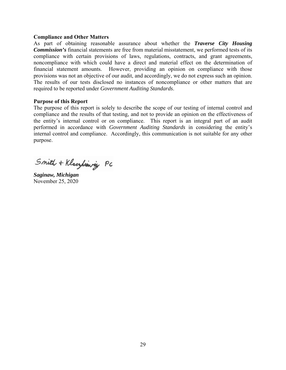#### **Compliance and Other Matters**

As part of obtaining reasonable assurance about whether the *Traverse City Housing Commission's* financial statements are free from material misstatement, we performed tests of its compliance with certain provisions of laws, regulations, contracts, and grant agreements, noncompliance with which could have a direct and material effect on the determination of financial statement amounts. However, providing an opinion on compliance with those provisions was not an objective of our audit, and accordingly, we do not express such an opinion. The results of our tests disclosed no instances of noncompliance or other matters that are required to be reported under *Government Auditing Standards*.

#### **Purpose of this Report**

The purpose of this report is solely to describe the scope of our testing of internal control and compliance and the results of that testing, and not to provide an opinion on the effectiveness of the entity's internal control or on compliance. This report is an integral part of an audit performed in accordance with *Government Auditing Standards* in considering the entity's internal control and compliance. Accordingly, this communication is not suitable for any other purpose.

Smith + Klacyhiavicy PC

*Saginaw, Michigan* November 25, 2020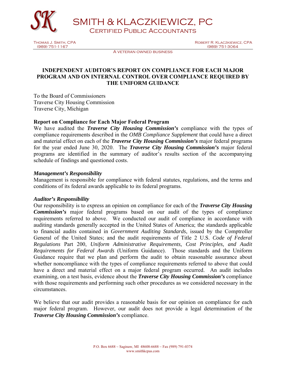

SMITH & KLACZKIEWICZ, PC Certified Public Accountants

Thomas J. Smith, CPA Robert R. Klaczkiewicz, CPA Robert R. Klaczkiewicz, CPA Robert R. Klaczkiewicz, CPA (989)<br>1989) 751-3064 (989) 751-3064 (989) 751-3064

A veteran owned business

#### **INDEPENDENT AUDITOR'S REPORT ON COMPLIANCE FOR EACH MAJOR PROGRAM AND ON INTERNAL CONTROL OVER COMPLIANCE REQUIRED BY THE UNIFORM GUIDANCE**

To the Board of Commissioners Traverse City Housing Commission Traverse City, Michigan

#### **Report on Compliance for Each Major Federal Program**

We have audited the *Traverse City Housing Commission's* compliance with the types of compliance requirements described in the *OMB Compliance Supplement* that could have a direct and material effect on each of the *Traverse City Housing Commission's* major federal programs for the year ended June 30, 2020. The *Traverse City Housing Commission's* major federal programs are identified in the summary of auditor's results section of the accompanying schedule of findings and questioned costs.

#### *Management's Responsibility*

Management is responsible for compliance with federal statutes, regulations, and the terms and conditions of its federal awards applicable to its federal programs.

#### *Auditor's Responsibility*

Our responsibility is to express an opinion on compliance for each of the *Traverse City Housing Commission's* major federal programs based on our audit of the types of compliance requirements referred to above. We conducted our audit of compliance in accordance with auditing standards generally accepted in the United States of America; the standards applicable to financial audits contained in *Government Auditing Standards*, issued by the Comptroller General of the United States; and the audit requirements of Title 2 U.S. *Code of Federal Regulations* Part 200, *Uniform Administrative Requirements, Cost Principles, and Audit Requirements for Federal Awards* (Uniform Guidance). Those standards and the Uniform Guidance require that we plan and perform the audit to obtain reasonable assurance about whether noncompliance with the types of compliance requirements referred to above that could have a direct and material effect on a major federal program occurred. An audit includes examining, on a test basis, evidence about the *Traverse City Housing Commission's* compliance with those requirements and performing such other procedures as we considered necessary in the circumstances.

We believe that our audit provides a reasonable basis for our opinion on compliance for each major federal program. However, our audit does not provide a legal determination of the *Traverse City Housing Commission's* compliance.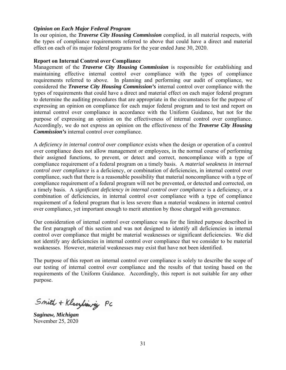#### *Opinion on Each Major Federal Program*

In our opinion, the *Traverse City Housing Commission* complied, in all material respects, with the types of compliance requirements referred to above that could have a direct and material effect on each of its major federal programs for the year ended June 30, 2020.

#### **Report on Internal Control over Compliance**

Management of the *Traverse City Housing Commission* is responsible for establishing and maintaining effective internal control over compliance with the types of compliance requirements referred to above. In planning and performing our audit of compliance, we considered the *Traverse City Housing Commission's* internal control over compliance with the types of requirements that could have a direct and material effect on each major federal program to determine the auditing procedures that are appropriate in the circumstances for the purpose of expressing an opinion on compliance for each major federal program and to test and report on internal control over compliance in accordance with the Uniform Guidance, but not for the purpose of expressing an opinion on the effectiveness of internal control over compliance. Accordingly, we do not express an opinion on the effectiveness of the *Traverse City Housing Commission's* internal control over compliance.

A *deficiency in internal control over compliance* exists when the design or operation of a control over compliance does not allow management or employees, in the normal course of performing their assigned functions, to prevent, or detect and correct, noncompliance with a type of compliance requirement of a federal program on a timely basis. A *material weakness in internal control over compliance* is a deficiency, or combination of deficiencies, in internal control over compliance, such that there is a reasonable possibility that material noncompliance with a type of compliance requirement of a federal program will not be prevented, or detected and corrected, on a timely basis. A *significant deficiency in internal control over compliance* is a deficiency, or a combination of deficiencies, in internal control over compliance with a type of compliance requirement of a federal program that is less severe than a material weakness in internal control over compliance, yet important enough to merit attention by those charged with governance.

Our consideration of internal control over compliance was for the limited purpose described in the first paragraph of this section and was not designed to identify all deficiencies in internal control over compliance that might be material weaknesses or significant deficiencies. We did not identify any deficiencies in internal control over compliance that we consider to be material weaknesses. However, material weaknesses may exist that have not been identified.

The purpose of this report on internal control over compliance is solely to describe the scope of our testing of internal control over compliance and the results of that testing based on the requirements of the Uniform Guidance. Accordingly, this report is not suitable for any other purpose.

Smith + Klacyhiavicy PC

*Saginaw, Michigan*  November 25, 2020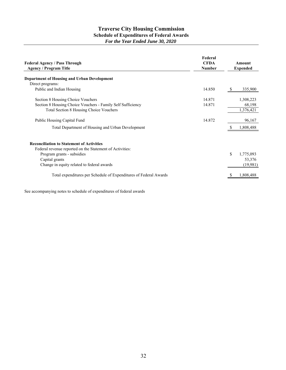#### **Traverse City Housing Commission Schedule of Expenditures of Federal Awards** *For the Year Ended June 30, 2020*

| <b>Federal Agency / Pass Through</b><br><b>Agency / Program Title</b> | Federal<br><b>CFDA</b><br><b>Number</b> | Amount<br><b>Expended</b> |           |  |
|-----------------------------------------------------------------------|-----------------------------------------|---------------------------|-----------|--|
| Department of Housing and Urban Development                           |                                         |                           |           |  |
| Direct programs:                                                      |                                         |                           |           |  |
| Public and Indian Housing                                             | 14.850                                  | -S                        | 335,900   |  |
| Section 8 Housing Choice Vouchers                                     | 14.871                                  |                           | 1,308,223 |  |
| Section 8 Housing Choice Vouchers - Family Self Sufficiency           | 14.871                                  |                           | 68,198    |  |
| Total Section 8 Housing Choice Vouchers                               |                                         |                           | 1,376,421 |  |
| <b>Public Housing Capital Fund</b>                                    | 14.872                                  |                           | 96,167    |  |
| Total Department of Housing and Urban Development                     |                                         |                           | 1,808,488 |  |
| <b>Reconciliation to Statement of Activities</b>                      |                                         |                           |           |  |
| Federal revenue reported on the Statement of Activities:              |                                         |                           |           |  |
| Program grants - subsidies                                            |                                         | \$.                       | 1,775,093 |  |
| Capital grants                                                        |                                         |                           | 53,376    |  |
| Change in equity related to federal awards                            |                                         |                           | (19,981)  |  |
| Total expenditures per Schedule of Expenditures of Federal Awards     |                                         |                           | 1,808,488 |  |
|                                                                       |                                         |                           |           |  |

See accompanying notes to schedule of expenditures of federal awards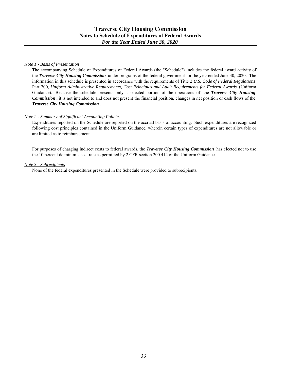#### *Note 1 - Basis of Presentation*

The accompanying Schedule of Expenditures of Federal Awards (the "Schedule") includes the federal award activity of the *Traverse City Housing Commission* under programs of the federal government for the year ended June 30, 2020. The information in this schedule is presented in accordance with the requirements of Title 2 *U.S. Code of Federal Regulations* Part 200, *Uniform Administrative Requirements, Cost Principles and Audit Requirements for Federal Awards* (Uniform Guidance). Because the schedule presents only a selected portion of the operations of the *Traverse City Housing Commission* , it is not intended to and does not present the financial position, changes in net position or cash flows of the *Traverse City Housing Commission* .

#### *Note 2 - Summary of Significant Accounting Policies*

Expenditures reported on the Schedule are reported on the accrual basis of accounting. Such expenditures are recognized following cost principles contained in the Uniform Guidance, wherein certain types of expenditures are not allowable or are limited as to reimbursement.

For purposes of charging indirect costs to federal awards, the *Traverse City Housing Commission* has elected not to use the 10 percent de minimis cost rate as permitted by 2 CFR section 200.414 of the Uniform Guidance.

#### *Note 3 - Subrecipients*

None of the federal expenditures presented in the Schedule were provided to subrecipients.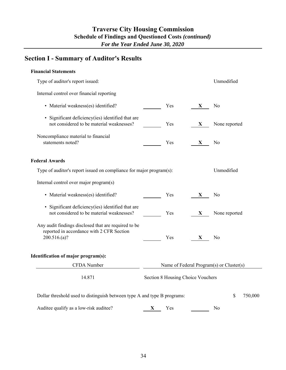## **Section I - Summary of Auditor's Results**

## **Financial Statements** Type of auditor's report issued: Unmodified Internal control over financial reporting • Material weakness(es) identified? Yes **X** No • Significant deficiency(ies) identified that are not considered to be material weaknesses? Yes X None reported Noncompliance material to financial statements noted? **Yes X** No **Federal Awards** Type of auditor's report issued on compliance for major program(s): Unmodified Internal control over major program(s) • Material weakness(es) identified? Yes **X** No • Significant deficiency(ies) identified that are not considered to be material weaknesses? Yes X None reported Any audit findings disclosed that are required to be reported in accordance with 2 CFR Section 200.516.(a)? Yes **X** No **Identification of major program(s):**

| Name of Federal Program(s) or Cluster(s)<br>CFDA Number                  |                                   |  |         |
|--------------------------------------------------------------------------|-----------------------------------|--|---------|
| 14.871                                                                   | Section 8 Housing Choice Vouchers |  |         |
| Dollar threshold used to distinguish between type A and type B programs: |                                   |  | 750,000 |

Auditee qualify as a low-risk auditee? **X** Yes No